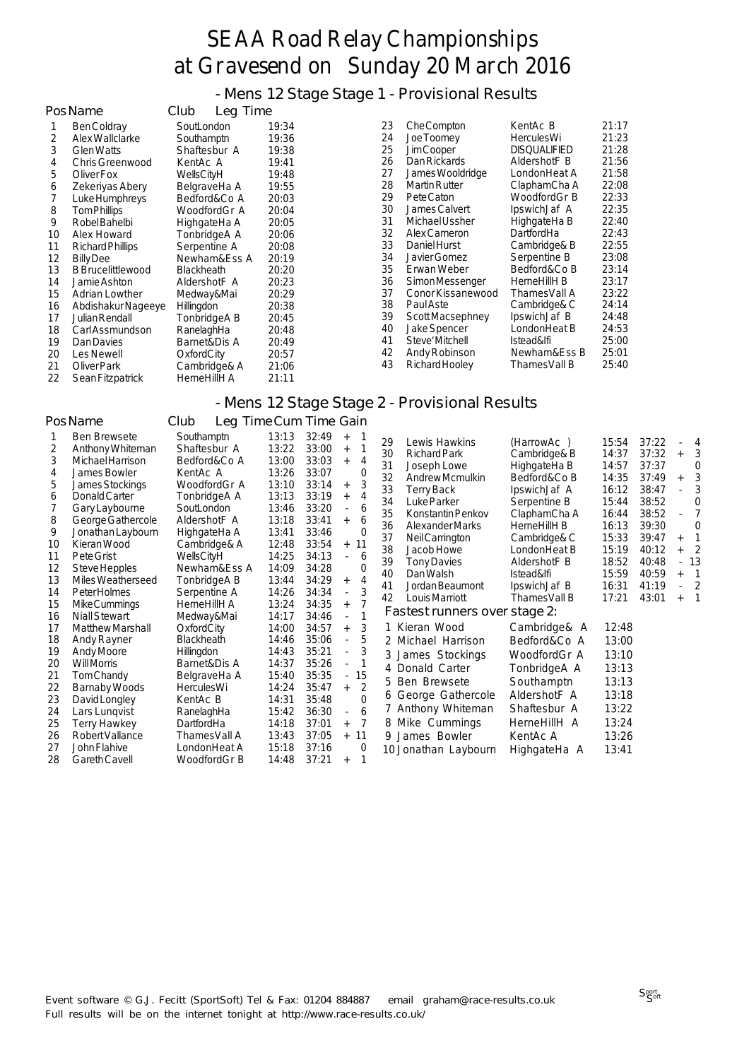- Mens 12 Stage Stage 1 - Provisional Results

|    | PosName                  | Club<br>Leg Time  |       |    |                      |                     |       |
|----|--------------------------|-------------------|-------|----|----------------------|---------------------|-------|
|    | Ben Coldray              | SoutLondon        | 19:34 | 23 | <b>Che Compton</b>   | KentAc B            | 21:17 |
| 2  | Alex Wallclarke          | Southamptn        | 19:36 | 24 | Joe Toomey           | <b>HerculesWi</b>   | 21:23 |
| 3  | <b>Glen Watts</b>        | Shaftesbur A      | 19:38 | 25 | Jim Cooper           | <b>DISQUALIFIED</b> | 21:28 |
| 4  | Chris Greenwood          | KentAc A          | 19:41 | 26 | Dan Rickards         | AldershotF B        | 21:56 |
| 5. | Oliver Fox               | WellsCityH        | 19:48 | 27 | James Wooldridge     | LondonHeat A        | 21:58 |
| 6  | Zekeriyas Abery          | BelgraveHa A      | 19:55 | 28 | <b>Martin Rutter</b> | ClaphamCha A        | 22:08 |
|    | Luke Humphreys           | Bedford&Co A      | 20:03 | 29 | Pete Caton           | WoodfordGr B        | 22:33 |
| 8  | Tom Phillips             | WoodfordGr A      | 20:04 | 30 | James Calvert        | IpswichJaf A        | 22:35 |
| 9  | Robel Bahelbi            | HighgateHa A      | 20:05 | 31 | Michael Ussher       | HighgateHa B        | 22:40 |
| 10 | Alex Howard              | TonbridgeA A      | 20:06 | 32 | Alex Cameron         | DartfordHa          | 22:43 |
| 11 | Richard Phillips         | Serpentine A      | 20:08 | 33 | Daniel Hurst         | Cambridge& B        | 22:55 |
| 12 | <b>Billy Dee</b>         | Newham&Ess A      | 20:19 | 34 | Javier Gomez         | Serpentine B        | 23:08 |
| 13 | <b>B</b> Brucelittlewood | <b>Blackheath</b> | 20:20 | 35 | Erwan Weber          | Bedford&Co B        | 23:14 |
| 14 | Jamie Ashton             | AldershotF A      | 20:23 | 36 | Simon Messenger      | HerneHillH B        | 23:17 |
| 15 | Adrian Lowther           | Medway&Mai        | 20:29 | 37 | Conor Kissanewood    | ThamesVall A        | 23:22 |
| 16 | Abdishakur Nageeye       | Hillingdon        | 20:38 | 38 | Paul Aste            | Cambridge& C        | 24:14 |
| 17 | Julian Rendall           | TonbridgeA B      | 20:45 | 39 | Scott Macsephney     | IpswichJaf B        | 24:48 |
| 18 | Carl Assmundson          | RanelaghHa        | 20:48 | 40 | <b>Jake Spencer</b>  | LondonHeat B        | 24:53 |
| 19 | Dan Davies               | Barnet&Dis A      | 20:49 | 41 | Steve' Mitchell      | Istead&lfi          | 25:00 |
| 20 | Les Newell               | OxfordCity        | 20:57 | 42 | Andy Robinson        | Newham&Ess B        | 25:01 |
| 21 | Oliver Park              | Cambridge& A      | 21:06 | 43 | Richard Hooley       | ThamesVall B        | 25:40 |
| 22 | Sean Fitzpatrick         | HerneHillH A      | 21:11 |    |                      |                     |       |

#### - Mens 12 Stage Stage 2 - Provisional Results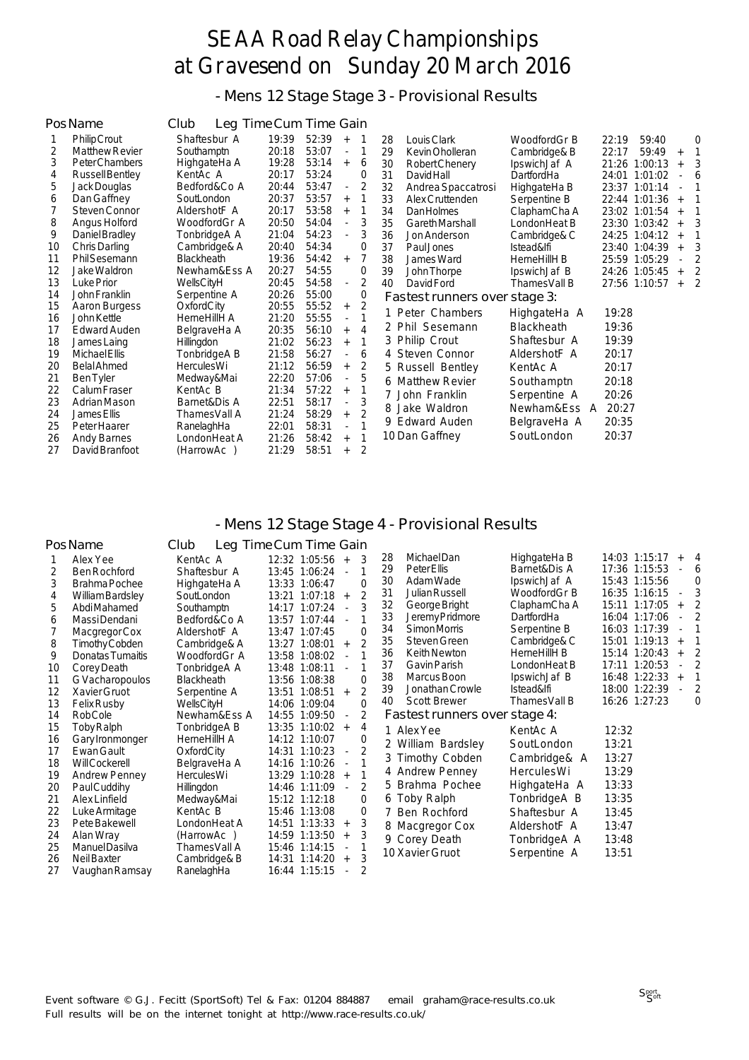- Mens 12 Stage Stage 3 - Provisional Results

|    | Pos Name              | Leg Time Cum Time Gain<br>Club |       |       |                          |                |    |                               |                   |                  |           |          |
|----|-----------------------|--------------------------------|-------|-------|--------------------------|----------------|----|-------------------------------|-------------------|------------------|-----------|----------|
|    | <b>Philip Crout</b>   | Shaftesbur A                   | 19:39 | 52:39 | $^{+}$                   |                | 28 | Louis Clark                   | WoodfordGr B      | 22:19<br>59:40   |           | $\Omega$ |
| 2  | <b>Matthew Revier</b> | Southamptn                     | 20:18 | 53:07 | $\overline{a}$           |                | 29 | Kevin Oholleran               | Cambridge& B      | 22:17<br>59:49   | $+$       |          |
| 3  | Peter Chambers        | HighgateHa A                   | 19:28 | 53:14 | $+$                      | 6              | 30 | Robert Chenery                | IpswichJaf A      | 21:26<br>1:00:13 | $+$       |          |
| 4  | Russell Bentley       | KentAc A                       | 20:17 | 53:24 |                          | $\Omega$       | 31 | <b>David Hall</b>             | DartfordHa        | 24:01 1:01:02    |           | 6        |
| 5  | Jack Douglas          | Bedford&Co A                   | 20:44 | 53:47 | $\overline{\phantom{a}}$ |                | 32 | Andrea Spaccatrosi            | HighgateHa B      | 23:37 1:01:14    |           |          |
| 6  | Dan Gaffney           | SoutLondon                     | 20:37 | 53:57 | $^{+}$                   |                | 33 | Alex Cruttenden               | Serpentine B      | 22:44 1:01:36    | $^{+}$    |          |
|    | Steven Connor         | AldershotF A                   | 20:17 | 53:58 | $+$                      |                | 34 | <b>Dan Holmes</b>             | ClaphamCha A      | 23:02 1:01:54    | $+$       |          |
| 8  | Angus Holford         | WoodfordGr A                   | 20:50 | 54:04 | $\frac{1}{2}$            | 3              | 35 | Gareth Marshall               | LondonHeat B      | 23:30 1:03:42    | $+$       |          |
| 9  | Daniel Bradley        | TonbridgeA A                   | 21:04 | 54:23 | $\overline{\phantom{a}}$ | 3              | 36 | Jon Anderson                  | Cambridge& C      | 24:25 1:04:12    | $\ddot{}$ |          |
| 10 | Chris Darling         | Cambridge& A                   | 20:40 | 54:34 |                          | $\mathbf 0$    | 37 | Paul.Jones                    | Istead&lfi        | 23:40<br>1:04:39 | $+$       |          |
| 11 | <b>PhilSesemann</b>   | <b>Blackheath</b>              | 19:36 | 54:42 | $+$                      | 7              | 38 | James Ward                    | HerneHillH B      | 25:59 1:05:29    |           |          |
| 12 | Jake Waldron          | Newham&Ess A                   | 20:27 | 54:55 |                          | $\mathbf 0$    | 39 | John Thorpe                   | IpswichJaf B      | 24:26 1:05:45    | $+$       |          |
| 13 | Luke Prior            | WellsCityH                     | 20:45 | 54:58 | $\overline{\phantom{a}}$ | 2              | 40 | David Ford                    | Thames Vall B     | 27:56 1:10:57    | $+$       |          |
| 14 | John Franklin         | Serpentine A                   | 20:26 | 55:00 |                          | 0              |    | Fastest runners over stage 3: |                   |                  |           |          |
| 15 | Aaron Burgess         | OxfordCity                     | 20:55 | 55:52 | $+$                      | $\overline{2}$ |    | 1 Peter Chambers              |                   | 19:28            |           |          |
| 16 | John Kettle           | HerneHillH A                   | 21:20 | 55:55 | $\overline{a}$           |                |    |                               | HighgateHa A      |                  |           |          |
| 17 | Edward Auden          | BelgraveHa A                   | 20:35 | 56:10 | $^{+}$                   | 4              |    | 2 Phil Sesemann               | <b>Blackheath</b> | 19:36            |           |          |
| 18 | James Laing           | <b>Hillingdon</b>              | 21:02 | 56:23 | $\ddot{}$                | 1              |    | 3 Philip Crout                | Shaftesbur A      | 19:39            |           |          |
| 19 | Michael Ellis         | TonbridgeA B                   | 21:58 | 56:27 |                          | 6              |    | 4 Steven Connor               | AldershotF A      | 20:17            |           |          |
| 20 | <b>Belal Ahmed</b>    | <b>HerculesWi</b>              | 21:12 | 56:59 | $+$                      | 2              |    | 5 Russell Bentley             | KentAc A          | 20:17            |           |          |
| 21 | <b>Ben Tyler</b>      | Medway&Mai                     | 22:20 | 57:06 | $\overline{\phantom{a}}$ | 5              |    | 6 Matthew Revier              | Southamptn        | 20:18            |           |          |
| 22 | Calum Fraser          | KentAc B                       | 21:34 | 57:22 | $+$                      |                |    | 7 John Franklin               | Serpentine A      | 20:26            |           |          |
| 23 | Adrian Mason          | Barnet&Dis A                   | 22:51 | 58:17 | $\overline{a}$           | 3              |    | 8 Jake Waldron                | Newham&Ess A      | 20:27            |           |          |
| 24 | James Ellis           | ThamesVall A                   | 21:24 | 58:29 | $^{+}$                   |                |    |                               |                   |                  |           |          |
| 25 | Peter Haarer          | RanelaghHa                     | 22:01 | 58:31 | $\overline{a}$           |                |    | 9 Edward Auden                | BelgraveHa A      | 20:35            |           |          |
| 26 | <b>Andy Barnes</b>    | LondonHeat A                   | 21:26 | 58:42 | $^{+}$                   |                |    | 10 Dan Gaffney                | SoutLondon        | 20:37            |           |          |
| 27 | David Branfoot        | (HarrowAc)                     | 21:29 | 58:51 | $^{+}$                   | 2              |    |                               |                   |                  |           |          |

#### - Mens 12 Stage Stage 4 - Provisional Results

| Pos Name                                                                                                                                                                                                                                                                                                                                                                                | Club                                                                                                                                                                                                                                       | Leg Time Cum Time Gain                                                                                                                                                                                                                                                                                                                                                                                                                                               |                                                                                                                                                                                                                                                                            |                                                                                                                                                                                            |                                                                                                                                                                                                                                                   |
|-----------------------------------------------------------------------------------------------------------------------------------------------------------------------------------------------------------------------------------------------------------------------------------------------------------------------------------------------------------------------------------------|--------------------------------------------------------------------------------------------------------------------------------------------------------------------------------------------------------------------------------------------|----------------------------------------------------------------------------------------------------------------------------------------------------------------------------------------------------------------------------------------------------------------------------------------------------------------------------------------------------------------------------------------------------------------------------------------------------------------------|----------------------------------------------------------------------------------------------------------------------------------------------------------------------------------------------------------------------------------------------------------------------------|--------------------------------------------------------------------------------------------------------------------------------------------------------------------------------------------|---------------------------------------------------------------------------------------------------------------------------------------------------------------------------------------------------------------------------------------------------|
| Alex Yee<br>2<br><b>Ben Rochford</b><br>3<br>Brahma Pochee<br>William Bardsley<br>4<br>5<br>Abdi Mahamed<br>Massi Dendani<br>6<br>Macgregor Cox<br>8<br>Timothy Cobden<br>9<br>Donatas Tumaitis<br>Corey Death<br>10<br>11<br>G Vacharopoulos                                                                                                                                           | KentAc A<br>Shaftesbur A<br>HighgateHa A<br>SoutLondon<br>Southamptn<br>Bedford&Co A<br>AldershotF A<br>Cambridge& A<br>WoodfordGr A<br>TonbridgeA A<br><b>Blackheath</b>                                                                  | 12:32 1:05:56<br>3<br>$+$<br>13:45 1:06:24<br>$\blacksquare$<br>13:33 1:06:47<br>$\Omega$<br>$\overline{2}$<br>13:21 1:07:18<br>$+$<br>3<br>14:17 1:07:24<br>$\overline{\phantom{a}}$<br>13:57 1:07:44<br>$\Omega$<br>13:47 1:07:45<br>$\overline{2}$<br>13:27 1:08:01<br>$+$<br>13:58 1:08:02<br>13:48 1:08:11<br>$\mathbf 0$<br>13:56 1:08:38                                                                                                                      | Michael Dan<br>28<br>29<br>Peter Ellis<br>30<br>Adam Wade<br>31<br><b>Julian Russell</b><br>32<br>George Bright<br>33<br>Jeremy Pridmore<br>34<br>Simon Morris<br>35<br>Steven Green<br>Keith Newton<br>36<br>Gavin Parish<br>37<br>38<br>Marcus Boon                      | HighgateHa B<br>Barnet&Dis A<br>IpswichJaf A<br>WoodfordGr B<br>ClaphamCha A<br>DartfordHa<br>Serpentine B<br>Cambridge& C<br>HerneHillH B<br>LondonHeat B<br>IpswichJaf B                 | 14:03 1:15:17<br>4<br>17:36 1:15:53<br>6<br>15:43 1:15:56<br>$\Omega$<br>16:35 1:16:15<br>15:11 1:17:05<br>$+$<br>16:04 1:17:06<br>16:03 1:17:39<br>15:01 1:19:13<br>$+$<br>15:14 1:20:43<br>2<br>$^{+}$<br>17:11 1:20:53<br>16:48 1:22:33<br>$+$ |
| Xavier Gruot<br>12<br>13<br><b>Felix Rusby</b><br><b>RobCole</b><br>14<br>15<br>Toby Ralph<br>16<br>Gary Ironmonger<br>Ewan Gault<br>17<br>18<br><b>Will Cockerell</b><br>19<br><b>Andrew Penney</b><br>Paul Cuddihy<br>20<br>21<br>Alex Linfield<br>22<br>Luke Armitage<br>23<br>Pete Bakewell<br>24<br>Alan Wray<br>Manuel Dasilva<br>25<br>26<br>Neil Baxter<br>27<br>Vaughan Ramsay | Serpentine A<br>WellsCityH<br>Newham&Ess A<br>TonbridgeA B<br>HerneHillH A<br>OxfordCity<br>BelgraveHa A<br>HerculesWi<br>Hillingdon<br>Medway&Mai<br>KentAc B<br>LondonHeat A<br>(HarrowAc)<br>ThamesVall A<br>Cambridge& B<br>RanelaghHa | $\overline{2}$<br>13:51 1:08:51<br>$+$<br>$\Omega$<br>14:06 1:09:04<br>2<br>14:55 1:09:50<br>4<br>13:35 1:10:02<br>$^{+}$<br>14:12 1:10:07<br>0<br>$\overline{2}$<br>14:31 1:10:23<br>$\overline{\phantom{a}}$<br>14:16 1:10:26<br>$\overline{a}$<br>13:29 1:10:28<br>$+$<br>2<br>14:46 1:11:09<br>15:12 1:12:18<br>0<br>0<br>15:46 1:13:08<br>3<br>14:51 1:13:33<br>$+$<br>3<br>14:59 1:13:50<br>$+$<br>15:46 1:14:15<br>3<br>14:31 1:14:20<br>$+$<br>16:44 1:15:15 | 39<br>Jonathan Crowle<br><b>Scott Brewer</b><br>40<br>Fastest runners over stage 4:<br>1 Alex Yee<br>2 William Bardsley<br>3 Timothy Cobden<br>4 Andrew Penney<br>5 Brahma Pochee<br>6 Toby Ralph<br>7 Ben Rochford<br>8 Macgregor Cox<br>9 Corey Death<br>10 Xavier Gruot | Istead&lfi<br>Thames Vall B<br>KentAc A<br>SoutLondon<br>Cambridge& A<br><b>HerculesWi</b><br>HighgateHa A<br>TonbridgeA B<br>Shaftesbur A<br>AldershotF A<br>TonbridgeA A<br>Serpentine A | 18:00 1:22:39<br>2<br>16:26 1:27:23<br>$\Omega$<br>12:32<br>13:21<br>13:27<br>13:29<br>13:33<br>13:35<br>13:45<br>13:47<br>13:48<br>13:51                                                                                                         |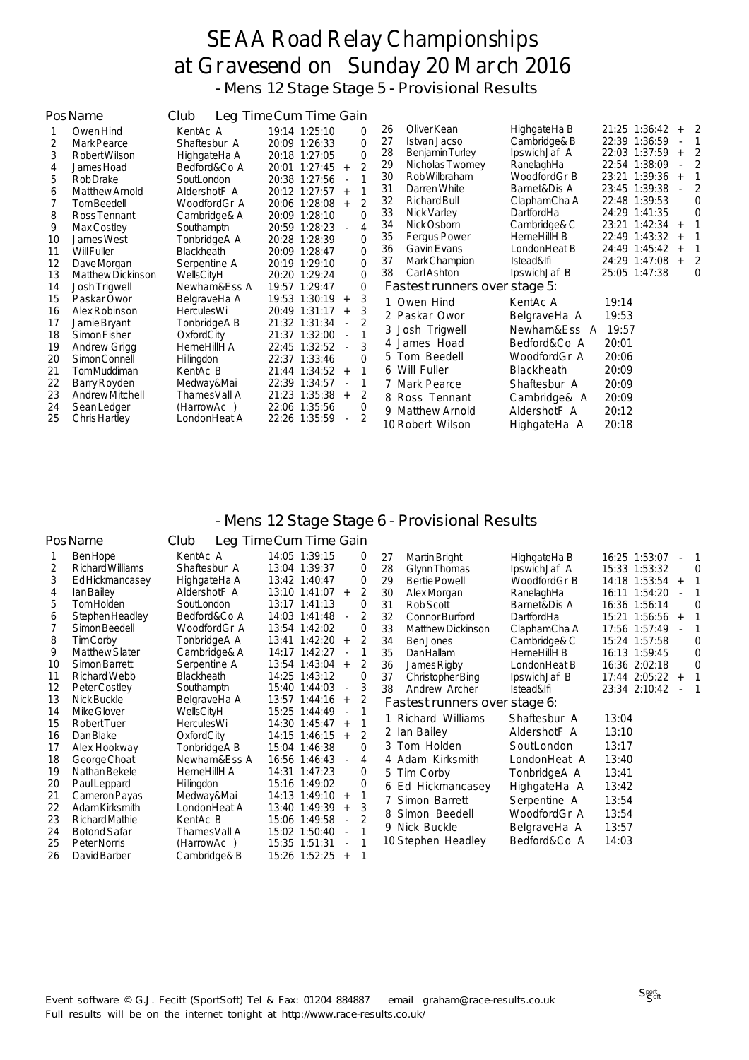- Mens 12 Stage Stage 5 - Provisional Results

|                                  | PosName                                                                                              | Club                                                                                            | Leg Time Cum Time Gain                                                                                                                                                                                 |                                                                                                                                                                                                                                                                                                                                                                         |                      |
|----------------------------------|------------------------------------------------------------------------------------------------------|-------------------------------------------------------------------------------------------------|--------------------------------------------------------------------------------------------------------------------------------------------------------------------------------------------------------|-------------------------------------------------------------------------------------------------------------------------------------------------------------------------------------------------------------------------------------------------------------------------------------------------------------------------------------------------------------------------|----------------------|
| 2<br>3<br>4<br>5                 | Owen Hind<br>Mark Pearce<br>Robert Wilson<br>James Hoad<br>Rob Drake                                 | KentAc A<br>Shaftesbur A<br>HighgateHa A<br>Bedford&Co A<br>SoutLondon                          | 19:14 1:25:10<br>$\Omega$<br>$\Omega$<br>20:09 1:26:33<br>$\Omega$<br>20:18 1:27:05<br>$\mathfrak{D}$<br>20:01 1:27:45<br>$+$<br>20:38 1:27:56<br>$\overline{\phantom{a}}$                             | HighgateHa B<br>Oliver Kean<br>21:25 1:36:42<br>26<br>$+2$<br>22:39 1:36:59<br>27<br>Cambridge& B<br>Istvan Jacso<br>IpswichJaf A<br>22:03 1:37:59<br>28<br><b>Benjamin Turley</b><br>$+$<br>RanelaghHa<br>Nicholas Twomey<br>22:54 1:38:09<br>29<br>Rob Wilbraham<br>WoodfordGr B<br>23:21 1:39:36<br>30<br>$+$<br>31<br>Darren White<br>23:45 1:39:38<br>Barnet&Dis A | $\mathbf{1}$<br>2    |
| 6<br>8<br>9<br>10                | Matthew Arnold<br>Tom Beedell<br>Ross Tennant<br>Max Costley<br>James West<br><b>Will Fuller</b>     | AldershotF A<br>WoodfordGr A<br>Cambridge& A<br>Southamptn<br>TonbridgeA A<br><b>Blackheath</b> | 20:12 1:27:57<br>$+$<br>$\overline{2}$<br>20:06 1:28:08<br>$+$<br>$\Omega$<br>20:09 1:28:10<br>20:59 1:28:23<br>4<br>$\blacksquare$<br>$\mathbf 0$<br>20:28 1:28:39<br>$\Omega$<br>20:09 1:28:47       | 22:48 1:39:53<br>32<br>Richard Bull<br>ClaphamCha A<br>24:29 1:41:35<br>33<br>Nick Varley<br>DartfordHa<br>34<br>Nick Osborn<br>Cambridge& C<br>23:21 1:42:34<br>$+$<br>22:49 1:43:32<br>35<br><b>Fergus Power</b><br>HerneHillH B<br>$+$<br>24:49 1:45:42<br>36<br><b>Gavin Evans</b><br>LondonHeat B                                                                  | $\Omega$<br>$\Omega$ |
| 11<br>12<br>13<br>14             | Dave Morgan<br>Matthew Dickinson<br>Josh Trigwell                                                    | Serpentine A<br>WellsCityH<br>Newham&Ess A                                                      | $\Omega$<br>20:19 1:29:10<br>$\Omega$<br>20:20 1:29:24<br>0<br>19:57 1:29:47                                                                                                                           | Mark Champion<br>24:29 1:47:08<br>37<br>Istead&lfi<br>$+$<br>Carl Ashton<br>25:05 1:47:38<br>38<br>IpswichJaf B<br>Fastest runners over stage 5:                                                                                                                                                                                                                        | 2<br>$\Omega$        |
| 15<br>16<br>17<br>18<br>19<br>20 | Paskar Owor<br>Alex Robinson<br>Jamie Bryant<br>Simon Fisher<br><b>Andrew Grigg</b><br>Simon Connell | BelgraveHa A<br><b>HerculesWi</b><br>TonbridgeA B<br>OxfordCity<br>HerneHillH A<br>Hillingdon   | 19:53 1:30:19<br>3<br>$^{+}$<br>20:49 1:31:17<br>3<br>$+$<br>21:32 1:31:34<br>$\overline{\phantom{a}}$<br>21:37 1:32:00<br>$\overline{\phantom{a}}$<br>22:45 1:32:52<br>3<br>22:37 1:33:46<br>$\Omega$ | 1 Owen Hind<br>19:14<br>KentAc A<br>2 Paskar Owor<br>BelgraveHa A<br>19:53<br>3 Josh Trigwell<br>Newham&Ess A<br>19:57<br>4 James Hoad<br>Bedford&Co A<br>20:01<br>5 Tom Beedell<br>20:06<br>WoodfordGr A                                                                                                                                                               |                      |
| 21<br>22<br>23<br>24<br>25       | TomMuddiman<br>Barry Royden<br>Andrew Mitchell<br>Sean Ledger<br>Chris Hartley                       | KentAc B<br>Medway&Mai<br>ThamesVall A<br>(HarrowAc)<br>LondonHeat A                            | 21:44 1:34:52<br>$+$<br>22:39 1:34:57<br>$\blacksquare$<br>2<br>21:23 1:35:38<br>$+$<br>22:06 1:35:56<br>$\Omega$<br>$\overline{2}$<br>22:26 1:35:59<br>$\overline{\phantom{a}}$                       | 6 Will Fuller<br>20:09<br>Blackheath<br>20:09<br>7 Mark Pearce<br>Shaftesbur A<br>20:09<br>8 Ross Tennant<br>Cambridge& A<br>AldershotF A<br>20:12<br>9 Matthew Arnold<br>20:18<br>10 Robert Wilson<br>HighgateHa A                                                                                                                                                     |                      |

#### - Mens 12 Stage Stage 6 - Provisional Results

|    | PosName               | Club              | Leg Time Cum Time Gain                    |                |                               |              |                      |
|----|-----------------------|-------------------|-------------------------------------------|----------------|-------------------------------|--------------|----------------------|
|    | <b>BenHope</b>        | KentAc A          | 14:05 1:39:15                             | 0              | 27<br>Martin Bright           | HighgateHa B | 16:25 1:53:07        |
| 2  | Richard Williams      | Shaftesbur A      | 13:04 1:39:37                             | 0              | 28<br>Glynn Thomas            | IpswichJaf A | 15:33 1:53:32<br>0   |
| 3  | Ed Hickmancasey       | HighgateHa A      | 13:42 1:40:47                             | $\mathbf 0$    | 29<br><b>Bertie Powell</b>    | WoodfordGr B | $14:18$ 1:53:54 +    |
| 4  | lan Bailey            | AldershotF A      | 13:10 1:41:07<br>$+$                      | 2              | 30<br>Alex Morgan             | RanelaghHa   | 16:11 1:54:20        |
| 5  | <b>TomHolden</b>      | SoutLondon        | 13:17 1:41:13                             | 0              | 31<br>Rob Scott               | Barnet&Dis A | 16:36 1:56:14<br>0   |
| 6  | Stephen Headley       | Bedford&Co A      | 14:03 1:41:48<br>$\sim$                   | 2              | 32<br><b>Connor Burford</b>   | DartfordHa   | 15:21 1:56:56<br>$+$ |
|    | Simon Beedell         | WoodfordGr A      | 13:54 1:42:02                             | 0              | 33<br>Matthew Dickinson       | ClaphamCha A | 17:56 1:57:49        |
| 8  | Tim Corby             | TonbridgeA A      | 13:41 1:42:20<br>$+$                      | $\overline{2}$ | 34<br>Ben Jones               | Cambridge& C | 15:24 1:57:58<br>0   |
| 9  | <b>Matthew Slater</b> | Cambridge& A      | 14:17 1:42:27<br>$\sim$                   |                | 35<br>Dan Hallam              | HerneHillH B | 16:13 1:59:45<br>0   |
| 10 | Simon Barrett         | Serpentine A      | 13:54 1:43:04<br>$+$                      | 2              | 36<br>James Rigby             | LondonHeat B | 16:36 2:02:18<br>0   |
| 11 | Richard Webb          | <b>Blackheath</b> | 14:25 1:43:12                             | 0              | 37<br>Christopher Bing        | IpswichJaf B | $17:44$ 2:05:22 +    |
| 12 | Peter Costley         | Southamptn        | 15:40 1:44:03<br>$\overline{\phantom{a}}$ | 3              | 38<br>Andrew Archer           | Istead&lfi   | 23:34 2:10:42        |
| 13 | Nick Buckle           | BelgraveHa A      | 13:57 1:44:16<br>$+$                      | 2              | Fastest runners over stage 6: |              |                      |
| 14 | Mike Glover           | WellsCityH        | 15:25 1:44:49<br>$\blacksquare$           |                | 1 Richard Williams            | Shaftesbur A | 13:04                |
| 15 | <b>Robert Tuer</b>    | HerculesWi        | 14:30 1:45:47<br>$+$                      |                |                               |              |                      |
| 16 | Dan Blake             | OxfordCity        | 14:15 1:46:15<br>$+$                      | 2              | 2 Ian Bailey                  | AldershotF A | 13:10                |
| 17 | Alex Hookway          | TonbridgeA B      | 15:04 1:46:38                             | $\Omega$       | 3 Tom Holden                  | SoutLondon   | 13:17                |
| 18 | George Choat          | Newham&Ess A      | 16:56 1:46:43<br>$\mathbf{r}$             | 4              | 4 Adam Kirksmith              | LondonHeat A | 13:40                |
| 19 | Nathan Bekele         | HerneHillH A      | 14:31 1:47:23                             | $\Omega$       | 5 Tim Corby                   | TonbridgeA A | 13:41                |
| 20 | Paul Leppard          | Hillingdon        | 15:16 1:49:02                             | 0              | 6 Ed Hickmancasey             | HighgateHa A | 13:42                |
| 21 | Cameron Payas         | Medway&Mai        | 14:13 1:49:10<br>$+$                      |                | 7 Simon Barrett               | Serpentine A | 13:54                |
| 22 | Adam Kirksmith        | LondonHeat A      | 13:40 1:49:39<br>$+$                      | 3              | Simon Beedell<br>8            | WoodfordGr A | 13:54                |
| 23 | Richard Mathie        | KentAc B          | 15:06 1:49:58<br>$\overline{\phantom{a}}$ |                |                               |              |                      |
| 24 | <b>Botond Safar</b>   | ThamesVall A      | 15:02 1:50:40                             |                | 9 Nick Buckle                 | BelgraveHa A | 13:57                |
| 25 | Peter Norris          | (HarrowAc)        | 15:35 1:51:31                             |                | 10 Stephen Headley            | Bedford&Co A | 14:03                |
| 26 | David Barber          | Cambridge& B      | 15:26 1:52:25                             |                |                               |              |                      |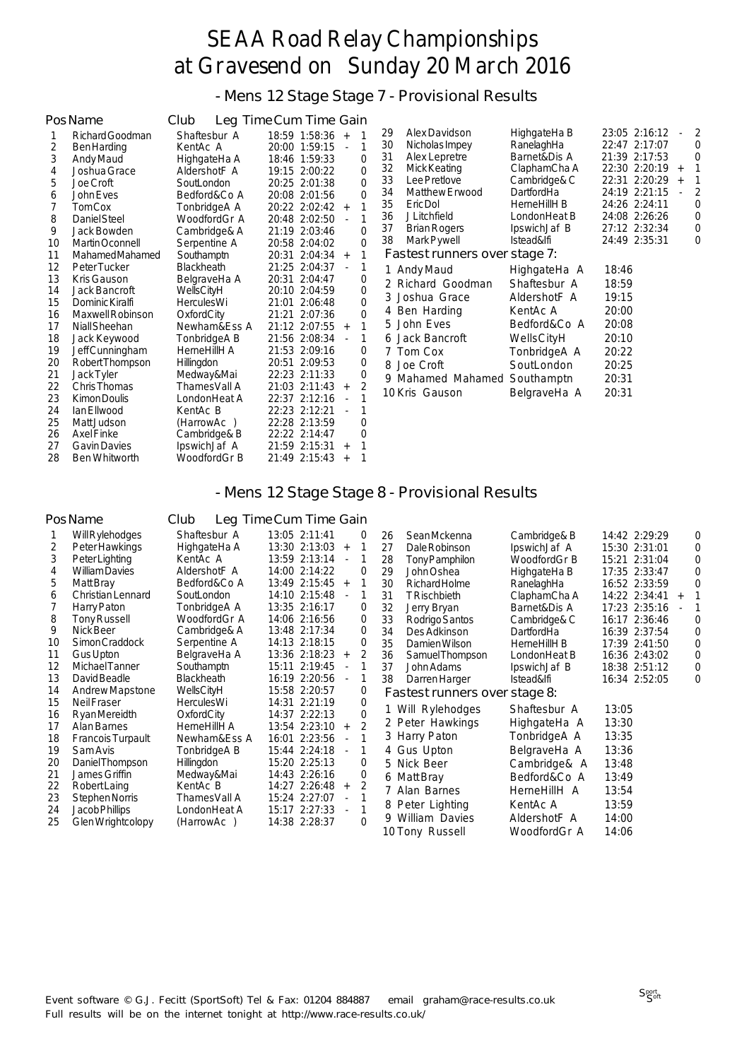- Mens 12 Stage Stage 7 - Provisional Results

|          | PosName              | Club              | Leg Time Cum Time Gain       |                                                            |             |
|----------|----------------------|-------------------|------------------------------|------------------------------------------------------------|-------------|
|          | Richard Goodman      | Shaftesbur A      | $18:59$ 1:58:36 +            | Alex Davidson<br>HighgateHa B<br>23:05 2:16:12<br>29       | 2<br>$\sim$ |
| 2        | <b>Ben Harding</b>   | KentAc A          | 20:00 1:59:15<br>$\mathbf 1$ | 30<br>RanelaghHa<br>22:47 2:17:07<br>Nicholas Impey        | 0           |
| 3        | Andy Maud            | HighgateHa A      | 18:46 1:59:33<br>$\Omega$    | 21:39 2:17:53<br>31<br>Alex Lepretre<br>Barnet&Dis A       | 0           |
| 4        | Joshua Grace         | AldershotF A      | $\mathbf 0$<br>19:15 2:00:22 | 32<br>Mick Keating<br>ClaphamCha A<br>22:30 2:20:19        | $+$         |
| 5        | Joe Croft            | SoutLondon        | $\Omega$<br>20:25 2:01:38    | 33<br>Lee Pretlove<br>Cambridge& C<br>22:31 2:20:29        | $+$         |
| 6        | John Eves            | Bedford&Co A      | 20:08 2:01:56<br>$\Omega$    | 34<br>24:19 2:21:15<br><b>Matthew Erwood</b><br>DartfordHa |             |
|          | <b>TomCox</b>        | TonbridgeA A      | 20:22 2:02:42 +              | 35<br>24:26 2:24:11<br>Eric Dol<br>HerneHillH B            | 0           |
| 8        | Daniel Steel         | WoodfordGr A      | 20:48 2:02:50<br>1           | 24:08 2:26:26<br>36<br><b>J</b> Litchfield<br>LondonHeat B | 0           |
| 9        | Jack Bowden          | Cambridge& A      | 21:19 2:03:46<br>$\Omega$    | 37<br>27:12 2:32:34<br>Brian Rogers<br>IpswichJaf B        | 0           |
| 10       | Martin Oconnell      | Serpentine A      | 0<br>20:58 2:04:02           | 38<br>24:49 2:35:31<br>Mark Pywell<br>Istead&lfi           | 0           |
| 11       | Mahamed Mahamed      | Southamptn        | 20:31 2:04:34 +              | Fastest runners over stage 7:                              |             |
| 12       | Peter Tucker         | <b>Blackheath</b> | 21:25 2:04:37                | 1 Andy Maud<br>18:46<br>HighgateHa A                       |             |
| 13       | Kris Gauson          | BelgraveHa A      | 20:31 2:04:47<br>0           | Richard Goodman<br>Shaftesbur A<br>18:59<br>2              |             |
| 14       | Jack Bancroft        | WellsCityH        | $\mathbf 0$<br>20:10 2:04:59 | Joshua Grace<br>AldershotF A<br>19:15<br>3                 |             |
| 15       | Dominic Kiralfi      | <b>HerculesWi</b> | $\Omega$<br>21:01 2:06:48    | 20:00<br>Ben Harding<br>KentAc A<br>4                      |             |
| 16       | Maxwell Robinson     | OxfordCity        | 21:21 2:07:36<br>0           | John Eves<br>20:08<br>Bedford&Co A                         |             |
| 17       | Niall Sheehan        | Newham&Ess A      | 21:12 2:07:55 +              | 5.                                                         |             |
| 18       | Jack Keywood         | TonbridgeA B      | 21:56 2:08:34                | 20:10<br>6 Jack Bancroft<br>WellsCityH                     |             |
| 19       | Jeff Cunningham      | HerneHillH A      | 21:53 2:09:16<br>0           | 7 Tom Cox<br>20:22<br>TonbridgeA A                         |             |
| 20       | Robert Thompson      | Hillingdon        | 20:51 2:09:53<br>0           | SoutLondon<br>20:25<br>8 Joe Croft                         |             |
| 21       | Jack Tyler           | Medway&Mai        | 22:23 2:11:33<br>0           | Mahamed Mahamed<br>Southamptn<br>20:31<br>9                |             |
| 22       | Chris Thomas         | ThamesVall A      | 2<br>21:03 2:11:43<br>$+$    | 10 Kris Gauson<br>20:31<br>BelgraveHa A                    |             |
| 23       | Kimon Doulis         | LondonHeat A      | 22:37 2:12:16<br>$\sim$      |                                                            |             |
| 24       | lan Ellwood          | KentAc B          | 22:23 2:12:21                |                                                            |             |
| 25       | Matt Judson          | (HarrowAc)        | 22:28 2:13:59<br>$\mathbf 0$ |                                                            |             |
| 26       | <b>Axel Finke</b>    | Cambridge& B      | 22:22 2:14:47<br>$\Omega$    |                                                            |             |
| 27<br>28 | <b>Gavin Davies</b>  | IpswichJaf A      | 21:59 2:15:31                |                                                            |             |
|          | <b>Ben Whitworth</b> | WoodfordGr B      | 21:49 2:15:43<br>$\ddot{}$   |                                                            |             |

### - Mens 12 Stage Stage 8 - Provisional Results

#### PosName Club Leg Time Cum Time Gain

|    | Will Rylehodges          | Shaftesbur A      | 13:05 2:11:41 |                          | $\Omega$<br>1  | 26 | <b>SeanMckenna</b>            | Cambridge& B | 14:42 2:29:29 |     | 0 |
|----|--------------------------|-------------------|---------------|--------------------------|----------------|----|-------------------------------|--------------|---------------|-----|---|
| 2  | Peter Hawkings           | HighgateHa A      | 13:30 2:13:03 | $+$                      |                | 27 | Dale Robinson                 | IpswichJaf A | 15:30 2:31:01 |     | 0 |
| 3  | Peter Lighting           | KentAc A          | 13:59 2:13:14 |                          | 1              | 28 | Tony Pamphilon                | WoodfordGr B | 15:21 2:31:04 |     | 0 |
| 4  | <b>William Davies</b>    | AldershotF A      | 14:00 2:14:22 |                          | $\Omega$       | 29 | John Oshea                    | HighgateHa B | 17:35 2:33:47 |     |   |
| 5  | Matt Bray                | Bedford&Co A      | 13:49 2:15:45 | $+$                      |                | 30 | Richard Holme                 | RanelaghHa   | 16:52 2:33:59 |     |   |
| 6  | Christian Lennard        | SoutLondon        | 14:10 2:15:48 | $\sim$                   | 1              | 31 | <b>TRischbieth</b>            | ClaphamCha A | 14:22 2:34:41 | $+$ |   |
|    | Harry Paton              | TonbridgeA A      | 13:35 2:16:17 |                          | 0              | 32 | Jerry Bryan                   | Barnet&Dis A | 17:23 2:35:16 |     |   |
| 8  | Tony Russell             | WoodfordGr A      | 14:06 2:16:56 |                          | 0              | 33 | Rodrigo Santos                | Cambridge& C | 16:17 2:36:46 |     | 0 |
| 9  | Nick Beer                | Cambridge& A      | 13:48 2:17:34 |                          | 0              | 34 | Des Adkinson                  | DartfordHa   | 16:39 2:37:54 |     | 0 |
| 10 | Simon Craddock           | Serpentine A      | 14:13 2:18:15 |                          | $\mathbf 0$    | 35 | Damien Wilson                 | HerneHillH B | 17:39 2:41:50 |     | 0 |
| 11 | Gus Upton                | BelgraveHa A      | 13:36 2:18:23 | $+$                      | 2              | 36 | Samuel Thompson               | LondonHeat B | 16:36 2:43:02 |     | 0 |
| 12 | Michael Tanner           | Southamptn        | 15:11 2:19:45 | $\blacksquare$           |                | 37 | John Adams                    | IpswichJaf B | 18:38 2:51:12 |     | 0 |
| 13 | David Beadle             | <b>Blackheath</b> | 16:19 2:20:56 | $\blacksquare$           |                | 38 | Darren Harger                 | Istead&lfi   | 16:34 2:52:05 |     | 0 |
| 14 | Andrew Mapstone          | WellsCityH        | 15:58 2:20:57 |                          | 0              |    | Fastest runners over stage 8: |              |               |     |   |
| 15 | <b>Neil Fraser</b>       | <b>HerculesWi</b> | 14:31 2:21:19 |                          | $\Omega$       |    |                               | Shaftesbur A | 13:05         |     |   |
| 16 | <b>RyanMereidth</b>      | OxfordCity        | 14:37 2:22:13 |                          | $\Omega$       |    | 1 Will Rylehodges             |              |               |     |   |
| 17 | Alan Barnes              | HerneHillH A      | 13:54 2:23:10 | $+$                      | $\mathfrak{D}$ |    | 2 Peter Hawkings              | HighgateHa A | 13:30         |     |   |
| 18 | <b>Francois Turpault</b> | Newham&Ess A      | 16:01 2:23:56 |                          |                |    | 3 Harry Paton                 | TonbridgeA A | 13:35         |     |   |
| 19 | Sam Avis                 | TonbridgeA B      | 15:44 2:24:18 | $\sim$                   | 1              |    | 4 Gus Upton                   | BelgraveHa A | 13:36         |     |   |
| 20 | Daniel Thompson          | <b>Hillingdon</b> | 15:20 2:25:13 |                          | $\Omega$       |    | 5 Nick Beer                   | Cambridge& A | 13:48         |     |   |
| 21 | James Griffin            | Medway&Mai        | 14:43 2:26:16 |                          | $\Omega$       |    | 6 Matt Bray                   | Bedford&Co A | 13:49         |     |   |
| 22 | Robert Laing             | KentAc B          | 14:27 2:26:48 | $+$                      | 2              |    | 7 Alan Barnes                 | HerneHillH A | 13:54         |     |   |
| 23 | Stephen Norris           | ThamesVall A      | 15:24 2:27:07 | $\overline{\phantom{a}}$ |                |    | 8 Peter Lighting              | KentAc A     | 13:59         |     |   |
| 24 | Jacob Phillips           | LondonHeat A      | 15:17 2:27:33 |                          |                |    | 9 William Davies              | AldershotF A | 14:00         |     |   |
| 25 | Glen Wrightcolopy        | (HarrowAc)        | 14:38 2:28:37 |                          | $\Omega$       |    | 10 Tony Russell               | WoodfordGr A | 14:06         |     |   |
|    |                          |                   |               |                          |                |    |                               |              |               |     |   |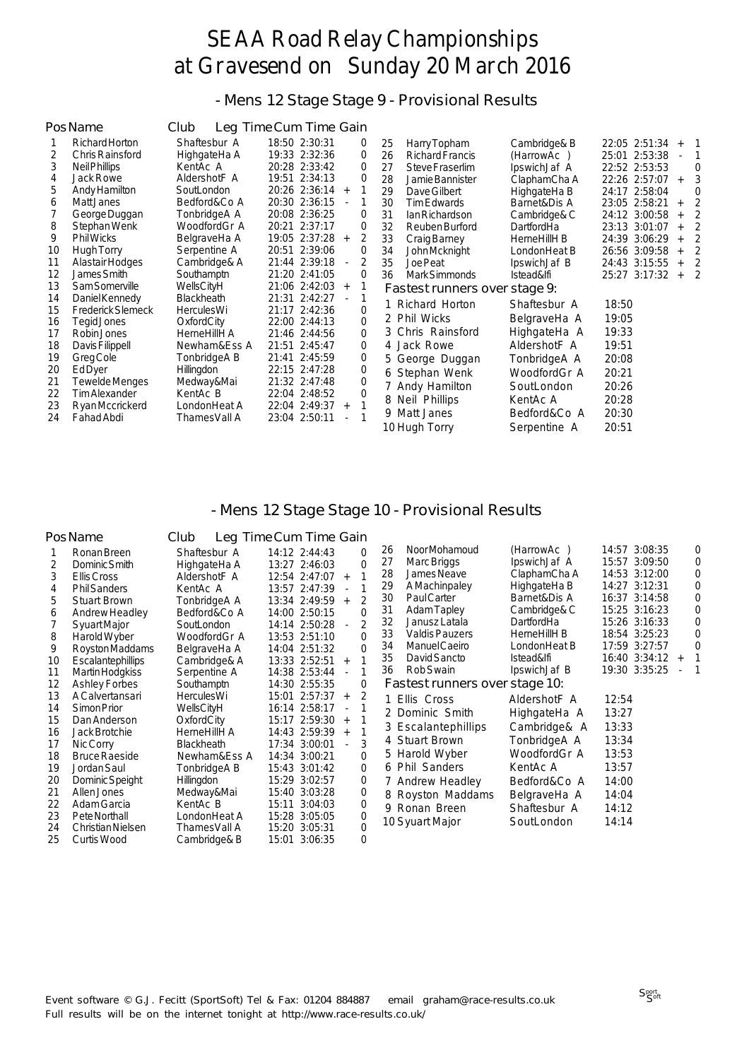- Mens 12 Stage Stage 9 - Provisional Results

|    | <b>PosName</b>           | Club              | Leg Time Cum Time Gain                    |             |                               |              |                                        |
|----|--------------------------|-------------------|-------------------------------------------|-------------|-------------------------------|--------------|----------------------------------------|
|    | Richard Horton           | Shaftesbur A      | 18:50 2:30:31                             | 0           | 25<br>Harry Topham            | Cambridge& B | 22:05 2:51:34<br>$\overline{1}$<br>$+$ |
| 2  | <b>Chris Rainsford</b>   | HighgateHa A      | 19:33 2:32:36                             | $\mathbf 0$ | 26<br><b>Richard Francis</b>  | (HarrowAc)   | 25:01 2:53:38                          |
| 3  | Neil Phillips            | KentAc A          | 20:28 2:33:42                             | $\Omega$    | 27<br>Steve Fraserlim         | IpswichJaf A | 22:52 2:53:53<br>$\Omega$              |
| 4  | Jack Rowe                | AldershotF A      | 19:51 2:34:13                             | 0           | 28<br>Jamie Bannister         | ClaphamCha A | 3<br>22:26 2:57:07<br>$+$              |
| 5  | Andy Hamilton            | SoutLondon        | 20:26 2:36:14<br>$+$                      | 1           | Dave Gilbert<br>29            | HighgateHa B | 24:17 2:58:04<br>$\Omega$              |
| 6  | Matt Janes               | Bedford&Co A      | 20:30 2:36:15<br>$\sim$                   | 1           | 30<br>Tim Edwards             | Barnet&Dis A | $\mathfrak{D}$<br>23:05 2:58:21<br>$+$ |
|    | George Duggan            | TonbridgeA A      | 20:08 2:36:25                             | 0           | 31<br>Ian Richardson          | Cambridge& C | $\overline{2}$<br>24:12 3:00:58<br>$+$ |
| 8  | Stephan Wenk             | WoodfordGr A      | 20:21 2:37:17                             | 0           | 32<br>Reuben Burford          | DartfordHa   | $\overline{2}$<br>23:13 3:01:07<br>$+$ |
| 9  | <b>Phil Wicks</b>        | BelgraveHa A      | 19:05 2:37:28<br>$+$                      | 2           | 33<br>Craig Barney            | HerneHillH B | $\overline{2}$<br>24:39 3:06:29<br>$+$ |
| 10 | Hugh Torry               | Serpentine A      | 20:51 2:39:06                             | $\Omega$    | 34<br>John Mcknight           | LondonHeat B | $\overline{2}$<br>26:56 3:09:58<br>$+$ |
| 11 | Alastair Hodges          | Cambridge& A      | 21:44 2:39:18<br>$\overline{\phantom{a}}$ | 2           | 35<br>Joe Peat                | IpswichJaf B | 24:43 3:15:55<br>2<br>$+$              |
| 12 | James Smith              | Southamptn        | 21:20 2:41:05                             | $\Omega$    | 36<br>Mark Simmonds           | Istead&lfi   | 25:27 3:17:32<br>$\overline{2}$<br>$+$ |
| 13 | Sam Somerville           | WellsCityH        | 21:06 2:42:03<br>$+$                      |             | Fastest runners over stage 9: |              |                                        |
| 14 | Daniel Kennedy           | <b>Blackheath</b> | 21:31 2:42:27                             |             | 1 Richard Horton              | Shaftesbur A | 18:50                                  |
| 15 | <b>Frederick Slemeck</b> | <b>HerculesWi</b> | 21:17 2:42:36                             | $\Omega$    | 2 Phil Wicks                  | BelgraveHa A | 19:05                                  |
| 16 | Tegid Jones              | OxfordCity        | 22:00 2:44:13                             | $\Omega$    |                               |              |                                        |
| 17 | Robin Jones              | HerneHillH A      | 21:46 2:44:56                             | $\Omega$    | 3 Chris Rainsford             | HighgateHa A | 19:33                                  |
| 18 | Davis Filippell          | Newham&Ess A      | 21:51 2:45:47                             | $\mathbf 0$ | 4 Jack Rowe                   | AldershotF A | 19:51                                  |
| 19 | Greg Cole                | TonbridgeA B      | 21:41 2:45:59                             | 0           | 5 George Duggan               | TonbridgeA A | 20:08                                  |
| 20 | EdDyer                   | Hillingdon        | 22:15 2:47:28                             | $\mathbf 0$ | 6 Stephan Wenk                | WoodfordGr A | 20:21                                  |
| 21 | Tewelde Menges           | Medway&Mai        | 21:32 2:47:48                             | $\Omega$    | 7 Andy Hamilton               | SoutLondon   | 20:26                                  |
| 22 | <b>Tim Alexander</b>     | KentAc B          | 22:04 2:48:52                             | $\Omega$    | 8 Neil Phillips               | KentAc A     | 20:28                                  |
| 23 | Ryan Mccrickerd          | LondonHeat A      | 22:04 2:49:37<br>$+$                      |             | 9 Matt Janes                  | Bedford&Co A | 20:30                                  |
| 24 | Fahad Abdi               | ThamesVall A      | 23:04 2:50:11                             |             | 10 Huah Torrv                 | Serpentine A | 20:51                                  |

#### - Mens 12 Stage Stage 10 - Provisional Results

|    | <b>PosName</b>           | Club              | Leg Time Cum Time Gain                    |             |                                |                   |                      |                |
|----|--------------------------|-------------------|-------------------------------------------|-------------|--------------------------------|-------------------|----------------------|----------------|
|    | Ronan Breen              | Shaftesbur A      | 14:12 2:44:43                             | $\Omega$    | Noor Mohamoud<br>26            | (HarrowAc)        | 14:57 3:08:35        | 0              |
| 2  | Dominic Smith            | HighgateHa A      | 13:27 2:46:03                             | $\Omega$    | 27<br>Marc Briggs              | IpswichJaf A      | 15:57 3:09:50        | $\Omega$       |
| 3  | Ellis Cross              | AldershotF A      | 12:54 2:47:07<br>$+$                      |             | 28<br>James Neave              | ClaphamCha A      | 14:53 3:12:00        | $\Omega$       |
| 4  | <b>Phil Sanders</b>      | KentAc A          | 13:57 2:47:39<br>$\sim$                   |             | AMachinpaley<br>29             | HighgateHa B      | 14:27 3:12:31        | $\Omega$       |
| 5  | <b>Stuart Brown</b>      | TonbridgeA A      | 13:34 2:49:59<br>$+$                      | 2           | 30<br><b>PaulCarter</b>        | Barnet&Dis A      | 16:37 3:14:58        | $\Omega$       |
| 6  | Andrew Headley           | Bedford&Co A      | 14:00 2:50:15                             | $\Omega$    | 31<br>Adam Tapley              | Cambridge& C      | 15:25 3:16:23        | $\overline{0}$ |
|    | <b>Syuart Major</b>      | SoutLondon        | 14:14 2:50:28<br>$\sim$                   | 2           | 32<br>Janusz Latala            | <b>DartfordHa</b> | 15:26 3:16:33        | 0              |
| 8  | Harold Wyber             | WoodfordGr A      | 13:53 2:51:10                             | $\Omega$    | 33<br><b>Valdis Pauzers</b>    | HerneHillH B      | 18:54 3:25:23        | 0              |
| 9  | Royston Maddams          | BelgraveHa A      | 14:04 2:51:32                             | $\Omega$    | Manuel Caeiro<br>34            | LondonHeat B      | 17:59 3:27:57        | $\Omega$       |
| 10 | <b>Escalantephillips</b> | Cambridge& A      | 13:33 2:52:51<br>$+$                      |             | David Sancto<br>35             | Istead&lfi        | 16:40 3:34:12<br>$+$ |                |
| 11 | Martin Hodgkiss          | Serpentine A      | 14:38 2:53:44                             | 1           | 36<br>Rob Swain                | IpswichJaf B      | 19:30 3:35:25        | 1              |
| 12 | <b>Ashley Forbes</b>     | Southamptn        | 14:30 2:55:35                             | 0           | Fastest runners over stage 10: |                   |                      |                |
| 13 | <b>A Calvertansari</b>   | <b>HerculesWi</b> | 15:01 2:57:37<br>$+$                      | 2           | 1 Ellis Cross                  | AldershotF A      | 12:54                |                |
| 14 | Simon Prior              | WellsCityH        | 16:14 2:58:17<br>$\overline{\phantom{a}}$ |             | 2 Dominic Smith                | HighgateHa A      | 13:27                |                |
| 15 | Dan Anderson             | OxfordCity        | 15:17 2:59:30<br>$+$                      |             |                                |                   | 13:33                |                |
| 16 | Jack Brotchie            | HerneHillH A      | 14:43 2:59:39<br>$+$                      |             | 3 Escalantephillips            | Cambridge& A      |                      |                |
| 17 | Nic Corry                | <b>Blackheath</b> | 17:34 3:00:01                             | 3           | 4 Stuart Brown                 | TonbridgeA A      | 13:34                |                |
| 18 | <b>Bruce Raeside</b>     | Newham&Ess A      | 14:34 3:00:21                             | $\Omega$    | 5 Harold Wyber                 | WoodfordGr A      | 13:53                |                |
| 19 | Jordan Saul              | TonbridgeA B      | 15:43 3:01:42                             | $\Omega$    | 6 Phil Sanders                 | KentAc A          | 13:57                |                |
| 20 | Dominic Speight          | <b>Hillingdon</b> | 15:29 3:02:57                             | $\mathbf 0$ | 7 Andrew Headley               | Bedford&Co A      | 14:00                |                |
| 21 | Allen Jones              | Medway&Mai        | 15:40 3:03:28                             | 0           | 8 Royston Maddams              | BelgraveHa A      | 14:04                |                |
| 22 | Adam Garcia              | KentAc B          | 15:11 3:04:03                             | 0           | 9 Ronan Breen                  | Shaftesbur A      | 14:12                |                |
| 23 | Pete Northall            | LondonHeat A      | 15:28 3:05:05                             | 0           | 10 Syuart Major                | SoutLondon        | 14:14                |                |
| 24 | Christian Nielsen        | ThamesVall A      | 15:20 3:05:31                             | $\Omega$    |                                |                   |                      |                |
| 25 | Curtis Wood              | Cambridge& B      | 15:01 3:06:35                             | $\Omega$    |                                |                   |                      |                |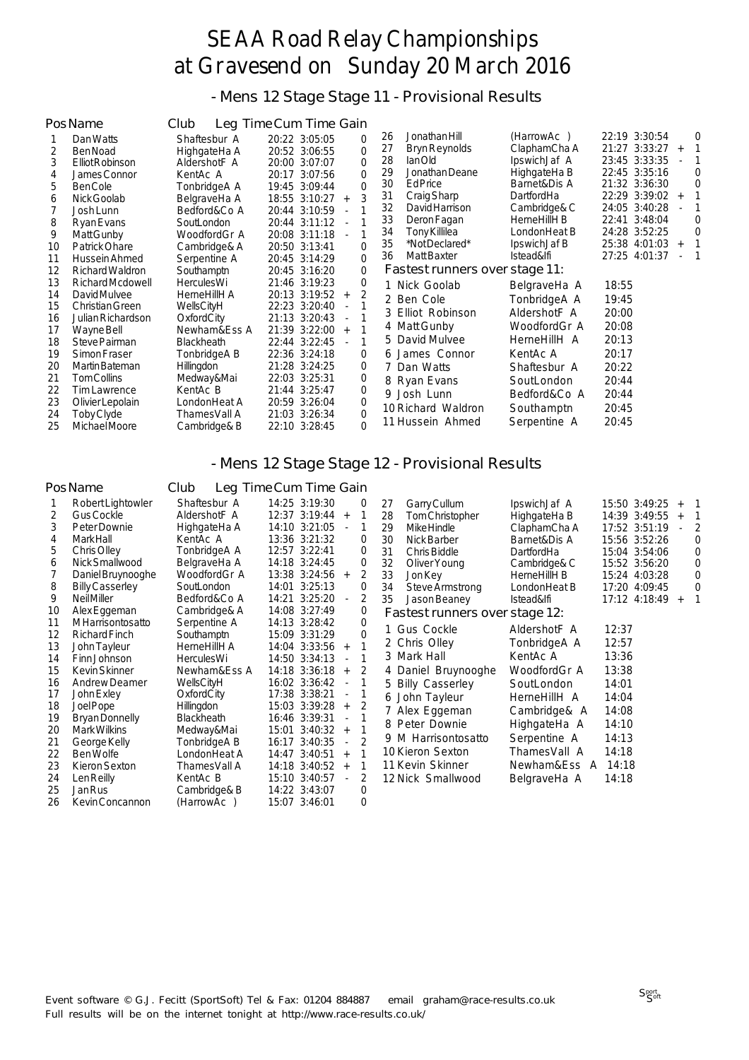- Mens 12 Stage Stage 11 - Provisional Results

|                                                                                  | PosName                                                                                                                                                                                                                                                            | Club                                                                                                                                                                                                                     | Leg Time Cum Time Gain                                                                                                                                                                                                                                                     |                                                                                                                          |                                                                                                                                                                                                                                                                        |                                                                                                                                                                        |                                                                                                                                                                                                                                                                          |
|----------------------------------------------------------------------------------|--------------------------------------------------------------------------------------------------------------------------------------------------------------------------------------------------------------------------------------------------------------------|--------------------------------------------------------------------------------------------------------------------------------------------------------------------------------------------------------------------------|----------------------------------------------------------------------------------------------------------------------------------------------------------------------------------------------------------------------------------------------------------------------------|--------------------------------------------------------------------------------------------------------------------------|------------------------------------------------------------------------------------------------------------------------------------------------------------------------------------------------------------------------------------------------------------------------|------------------------------------------------------------------------------------------------------------------------------------------------------------------------|--------------------------------------------------------------------------------------------------------------------------------------------------------------------------------------------------------------------------------------------------------------------------|
| 2<br>3<br>4<br>5<br>6<br>8<br>9<br>10<br>11                                      | Dan Watts<br>Ben Noad<br>Elliot Robinson<br>James Connor<br><b>BenCole</b><br>Nick Goolab<br>Josh Lunn<br>Ryan Evans<br>Matt Gunby<br>Patrick Ohare<br>Hussein Ahmed                                                                                               | Shaftesbur A<br>HighgateHa A<br>AldershotF A<br>KentAc A<br>TonbridgeA A<br>BelgraveHa A<br>Bedford&Co A<br>SoutLondon<br>WoodfordGr A<br>Cambridge& A<br>Serpentine A                                                   | 20:22 3:05:05<br>20:52 3:06:55<br>20:00 3:07:07<br>20:17 3:07:56<br>19:45 3:09:44<br>18:55 3:10:27<br>$+$<br>20:44 3:10:59<br>20:44 3:11:12<br>$\overline{\phantom{a}}$<br>20:08 3:11:18<br>20:50 3:13:41<br>20:45 3:14:29                                                 | 0<br>$\overline{0}$<br>$\mathbf 0$<br>$\Omega$<br>$\Omega$<br>3<br>$\Omega$<br>$\mathbf 0$                               | Jonathan Hill<br>26<br>27<br><b>Bryn Reynolds</b><br>28<br>lanOld<br>Jonathan Deane<br>29<br>30<br><b>Ed Price</b><br>31<br>Craig Sharp<br>32<br>David Harrison<br>33<br>Deron Fagan<br>34<br><b>Tony Killilea</b><br>35<br>*Not Declared*<br><b>Matt Baxter</b><br>36 | (HarrowAc)<br>ClaphamCha A<br>IpswichJaf A<br>HighgateHa B<br>Barnet&Dis A<br>DartfordHa<br>Cambridge& C<br>HerneHillH B<br>LondonHeat B<br>IpswichJaf B<br>Istead&lfi | 22:19 3:30:54<br>$\Omega$<br>21:27 3:33:27<br>$+$<br>23:45 3:33:35<br>22:45 3:35:16<br>$\Omega$<br>21:32 3:36:30<br>$\Omega$<br>22:29 3:39:02<br>$+$<br>24:05 3:40:28<br>22:41 3:48:04<br>$\Omega$<br>24:28 3:52:25<br>$\Omega$<br>25:38 4:01:03<br>$+$<br>27:25 4:01:37 |
| 12<br>13<br>14<br>15<br>16<br>17<br>18<br>19<br>20<br>21<br>22<br>23<br>24<br>25 | Richard Waldron<br>Richard Mcdowell<br>David Mulvee<br>Christian Green<br>Julian Richardson<br>Wayne Bell<br>Steve Pairman<br>Simon Fraser<br>Martin Bateman<br><b>TomCollins</b><br><b>Tim Lawrence</b><br>Olivier Lepolain<br>Toby Clyde<br><b>Michael Moore</b> | Southamptn<br>HerculesWi<br>HerneHillH A<br>WellsCityH<br>OxfordCity<br>Newham&Ess A<br><b>Blackheath</b><br>TonbridgeA B<br><b>Hillingdon</b><br>Medway&Mai<br>KentAc B<br>LondonHeat A<br>ThamesVall A<br>Cambridge& B | 20:45 3:16:20<br>21:46 3:19:23<br>20:13 3:19:52<br>$+$<br>22:23 3:20:40<br>$\blacksquare$<br>21:13 3:20:43<br>21:39 3:22:00<br>$+$<br>22:44 3:22:45<br>22:36 3:24:18<br>21:28 3:24:25<br>22:03 3:25:31<br>21:44 3:25:47<br>20:59 3:26:04<br>21:03 3:26:34<br>22:10 3:28:45 | $\mathbf 0$<br>0<br>$\overline{2}$<br>1<br>0<br>0<br>$\overline{0}$<br>$\overline{0}$<br>0<br>$\overline{0}$<br>$\Omega$ | Fastest runners over stage 11:<br>1 Nick Goolab<br>2 Ben Cole<br>3 Elliot Robinson<br>4 Matt Gunby<br>5 David Mulvee<br>6 James Connor<br>7 Dan Watts<br>8 Ryan Evans<br>9 Josh Lunn<br>10 Richard Waldron<br>11 Hussein Ahmed                                         | BelgraveHa A<br>TonbridgeA A<br>AldershotF A<br>WoodfordGr A<br>HerneHillH A<br>KentAc A<br>Shaftesbur A<br>SoutLondon<br>Bedford&Co A<br>Southamptn<br>Serpentine A   | 18:55<br>19:45<br>20:00<br>20:08<br>20:13<br>20:17<br>20:22<br>20:44<br>20:44<br>20:45<br>20:45                                                                                                                                                                          |

#### - Mens 12 Stage Stage 12 - Provisional Results

#### PosName Club Leg Time Cum Time Gain

| 1  | Robert Lightowler       | Shaftesbur A      |       | 14:25 3:19:30 |                | 0              |  |
|----|-------------------------|-------------------|-------|---------------|----------------|----------------|--|
| 2  | <b>Gus Cockle</b>       | AldershotF A      | 12:37 | 3:19:44       | $+$            | 1              |  |
| 3  | Peter Downie            | HighgateHa A      | 14:10 | 3:21:05       |                | 1              |  |
| 4  | <b>MarkHall</b>         | KentAc A          |       | 13:36 3:21:32 |                | 0              |  |
| 5  | Chris Olley             | TonbridgeA A      | 12:57 | 3:22:41       |                | 0              |  |
| 6  | Nick Smallwood          | BelgraveHa A      | 14:18 | 3:24:45       |                | 0              |  |
| 7  | Daniel Bruynooghe       | WoodfordGr A      | 13:38 | 3:24:56       | $+$            | 2              |  |
| 8  | <b>Billy Casserley</b>  | SoutLondon        | 14:01 | 3:25:13       |                | $\Omega$       |  |
| 9  | <b>Neil Miller</b>      | Bedford&Co A      | 14:21 | 3:25:20       | $\overline{a}$ | $\overline{2}$ |  |
| 10 | Alex Eggeman            | Cambridge& A      |       | 14:08 3:27:49 |                | $\Omega$       |  |
| 11 | <b>MHarrisontosatto</b> | Serpentine A      | 14:13 | 3:28:42       |                | 0              |  |
| 12 | <b>Richard Finch</b>    | Southamptn        | 15:09 | 3:31:29       |                | 0              |  |
| 13 | John Tayleur            | HerneHillH A      | 14:04 | 3:33:56       | $+$            | 1              |  |
| 14 | Finn Johnson            | <b>HerculesWi</b> | 14:50 | 3:34:13       | $\overline{a}$ | 1              |  |
| 15 | <b>Kevin Skinner</b>    | Newham&Ess A      | 14:18 | 3:36:18       | $\ddot{}$      | $\overline{2}$ |  |
| 16 | <b>Andrew Deamer</b>    | WellsCityH        | 16:02 | 3:36:42       | $\overline{a}$ | $\mathbf{1}$   |  |
| 17 | John Exley              | OxfordCity        | 17:38 | 3:38:21       | $\overline{a}$ | 1              |  |
| 18 | Joel Pope               | Hillingdon        | 15:03 | 3:39:28       | $+$            | $\overline{2}$ |  |
| 19 | <b>Bryan Donnelly</b>   | <b>Blackheath</b> | 16:46 | 3:39:31       | $\overline{a}$ | 1              |  |
| 20 | Mark Wilkins            | Medway&Mai        | 15:01 | 3:40:32       | $\ddot{}$      | 1              |  |
| 21 | George Kelly            | TonbridgeA B      | 16:17 | 3:40:35       | $\overline{a}$ | $\overline{2}$ |  |
| 22 | Ben Wolfe               | LondonHeat A      | 14:47 | 3:40:51       | $\ddot{}$      | $\mathbf{1}$   |  |
| 23 | Kieron Sexton           | ThamesVall A      | 14:18 | 3:40:52       | $+$            | 1              |  |
| 24 | Len Reilly              | KentAc B          | 15:10 | 3:40:57       | $\overline{a}$ | 2              |  |
| 25 | <b>Jan Rus</b>          | Cambridge& B      | 14:22 | 3:43:07       |                | $\overline{0}$ |  |
| 26 | Kevin Concannon         | (HarrowAc)        | 15:07 | 3:46:01       |                | 0              |  |
|    |                         |                   |       |               |                |                |  |

| 27 | Garry Cullum                   | IpswichJaf A       | 15:50 3:49:25    | $\ddot{}$ | 1              |
|----|--------------------------------|--------------------|------------------|-----------|----------------|
| 28 | Tom Christopher                | HighgateHa B       | 14:39<br>3:49:55 | $\ddot{}$ | 1              |
| 29 | Mike Hindle                    | ClaphamCha A       | 17:52 3:51:19    |           | $\overline{2}$ |
| 30 | Nick Barber                    | Barnet&Dis A       | 15:56 3:52:26    |           | 0              |
| 31 | Chris Biddle                   | DartfordHa         | 3:54:06<br>15:04 |           | 0              |
| 32 | Oliver Young                   | Cambridge& C       | 15:52 3:56:20    |           | 0              |
| 33 | <b>Jon Key</b>                 | HerneHillH B       | 4:03:28<br>15:24 |           | 0              |
| 34 | Steve Armstrong                | LondonHeat B       | 4:09:45<br>17:20 |           | 0              |
| 35 | Jason Beaney                   | Istead&lfi         | 17:12 4:18:49    | $+$       | 1              |
|    | Fastest runners over stage 12: |                    |                  |           |                |
|    | 1 Gus Cockle                   | AldershotF A       | 12:37            |           |                |
|    | 2 Chris Olley                  | TonbridgeA A       | 12:57            |           |                |
|    | 3 Mark Hall                    | KentAc A           | 13:36            |           |                |
| 4  | Daniel Bruynooghe              | WoodfordGr A       | 13:38            |           |                |
| 5  | <b>Billy Casserley</b>         | SoutLondon         | 14:01            |           |                |
|    | 6 John Tayleur                 | HerneHillH A       | 14:04            |           |                |
| 7  | Alex Eggeman                   | Cambridge& A       | 14:08            |           |                |
| 8  | Peter Downie                   | HighgateHa A       | 14:10            |           |                |
| 9  | M Harrisontosatto              | Serpentine A       | 14:13            |           |                |
|    | 10 Kieron Sexton               | ThamesVall A       | 14:18            |           |                |
|    | 11 Kevin Skinner               | Newham&Ess A 14:18 |                  |           |                |
|    | 12 Nick Smallwood              | BelgraveHa A       | 14:18            |           |                |
|    |                                |                    |                  |           |                |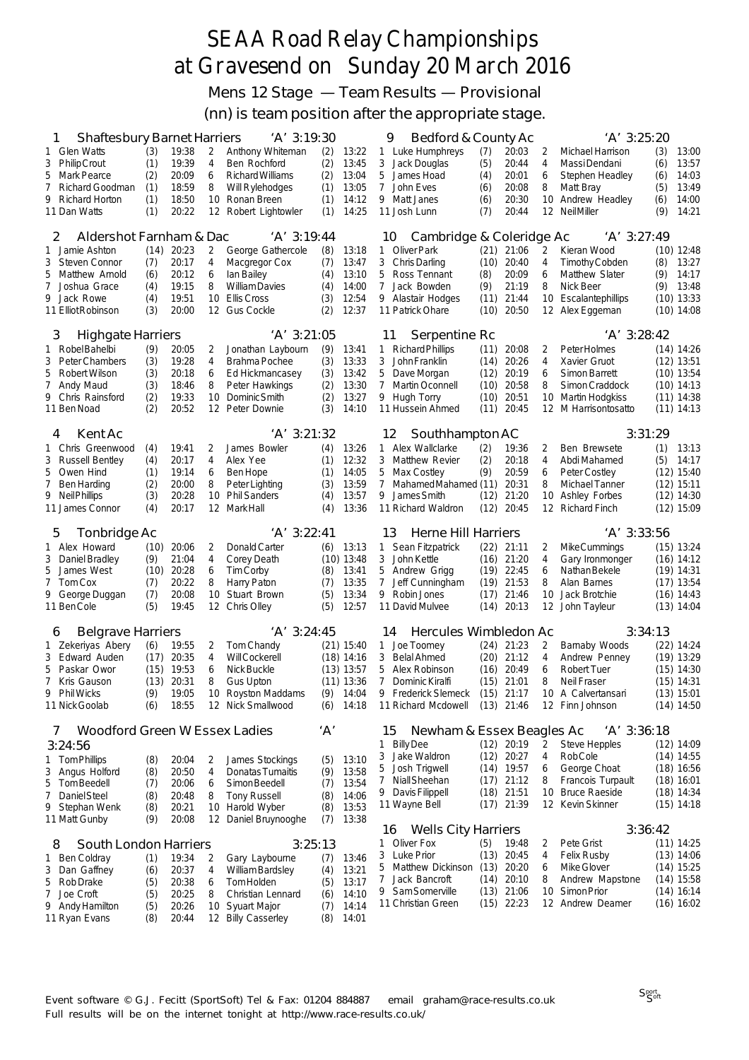Mens 12 Stage — Team Results — Provisional

(nn) is team position after the appropriate stage.

| 'A' 3:19:30<br><b>Shaftesbury Barnet Harriers</b><br>1 |            |                |                   |                                             | Bedford & County Ac<br>'A' 3:25:20<br>9 |                      |                                                       |              |                |                |                                            |            |                              |
|--------------------------------------------------------|------------|----------------|-------------------|---------------------------------------------|-----------------------------------------|----------------------|-------------------------------------------------------|--------------|----------------|----------------|--------------------------------------------|------------|------------------------------|
| 1 Glen Watts                                           | (3)        | 19:38          | 2                 | Anthony Whiteman                            | (2)                                     | 13:22                | 1 Luke Humphreys                                      | (7)          | 20:03          | 2              | Michael Harrison                           | (3)        | 13:00                        |
| <b>Philip Crout</b><br>3                               | (1)        | 19:39          | 4                 | Ben Rochford                                | (2)                                     | 13:45                | 3<br>Jack Douglas                                     | (5)          | 20:44          | 4              | Massi Dendani                              | (6)        | 13:57                        |
| <b>Mark Pearce</b><br>5                                | (2)        | 20:09          | 6                 | Richard Williams                            | (2)                                     | 13:04                | James Hoad<br>5                                       | (4)          | 20:01          | 6              | Stephen Headley                            | (6)        | 14:03                        |
| $7^{\circ}$<br>Richard Goodman<br>9                    | (1)<br>(1) | 18:59<br>18:50 | 8<br>10           | Will Rylehodges                             | (1)<br>(1)                              | 13:05<br>14:12       | 7<br>John Eves                                        | (6)          | 20:08          | 8              | Matt Bray                                  | (5)<br>(6) | 13:49<br>14:00               |
| <b>Richard Horton</b><br>11 Dan Watts                  | (1)        | 20:22          | $12 \overline{ }$ | Ronan Breen<br>Robert Lightowler            | (1)                                     | 14:25                | 9 Matt Janes<br>11 Josh Lunn                          | (6)<br>(7)   | 20:30<br>20:44 | 10<br>12       | Andrew Headley<br><b>Neil Miller</b>       | (9)        | 14:21                        |
|                                                        |            |                |                   |                                             |                                         |                      |                                                       |              |                |                |                                            |            |                              |
| Aldershot Farnham & Dac<br>2                           |            |                |                   | $'A'$ 3:19:44                               |                                         |                      | Cambridge & Coleridge Ac<br>$'A'$ 3:27:49<br>10       |              |                |                |                                            |            |                              |
| Jamie Ashton<br>1                                      | (14)       | 20:23          | 2                 | George Gathercole                           | (8)                                     | 13:18                | 1 Oliver Park                                         | (21)         | 21:06          | 2              | Kieran Wood                                |            | $(10)$ 12:48                 |
| Steven Connor<br>3                                     | (7)        | 20:17          | 4                 | Macgregor Cox                               | (7)                                     | 13:47                | 3 Chris Darling                                       | (10)         | 20:40          | 4              | Timothy Cobden                             | (8)        | 13:27                        |
| 5<br>Matthew Arnold                                    | (6)        | 20:12          | 6                 | lan Bailey                                  | (4)                                     | 13:10                | 5<br>Ross Tennant                                     | (8)          | 20:09          | 6              | Matthew Slater                             | (9)        | 14:17                        |
| 7<br>Joshua Grace<br>9                                 | (4)        | 19:15<br>19:51 | 8<br>10           | <b>William Davies</b><br><b>Ellis Cross</b> | (4)                                     | 14:00<br>12:54       | $\overline{7}$<br>Jack Bowden                         | (9)<br>(11)  | 21:19          | 8              | Nick Beer                                  | (9)        | 13:48                        |
| Jack Rowe<br>11 Elliot Robinson                        | (4)<br>(3) | 20:00          | 12                | <b>Gus Cockle</b>                           | (3)<br>(2)                              | 12:37                | 9 Alastair Hodges<br>11 Patrick Ohare                 | (10)         | 21:44<br>20:50 |                | 10 Escalantephillips<br>12 Alex Eggeman    |            | $(10)$ 13:33<br>$(10)$ 14:08 |
|                                                        |            |                |                   |                                             |                                         |                      |                                                       |              |                |                |                                            |            |                              |
| <b>Highgate Harriers</b><br>3                          |            |                |                   | $'A'$ 3:21:05                               |                                         |                      | Serpentine Rc<br>11                                   |              |                |                | 'A' 3:28:42                                |            |                              |
| Robel Bahelbi<br>1                                     | (9)        | 20:05          | 2                 | Jonathan Laybourn                           | (9)                                     | 13:41                | <b>Richard Phillips</b><br>1                          | (11)         | 20:08          | 2              | Peter Holmes                               |            | $(14)$ 14:26                 |
| <b>Peter Chambers</b><br>3                             | (3)        | 19:28          | 4                 | Brahma Pochee                               | (3)                                     | 13:33                | John Franklin<br>3                                    | (14)         | 20:26          | 4              | Xavier Gruot                               |            | $(12)$ 13:51                 |
| 5<br>Robert Wilson                                     | (3)        | 20:18          | 6                 | Ed Hickmancasey                             | (3)                                     | 13:42                | 5<br>Dave Morgan                                      | (12)         | 20:19          | 6              | <b>Simon Barrett</b>                       |            | $(10)$ 13:54                 |
| 7<br>Andy Maud                                         | (3)        | 18:46          | 8                 | Peter Hawkings                              | (2)                                     | 13:30                | 7<br>Martin Oconnell                                  | (10)         | 20:58          | 8              | Simon Craddock                             |            | $(10)$ 14:13                 |
| 9<br>Chris Rainsford<br>11 Ben Noad                    | (2)<br>(2) | 19:33<br>20:52 | 10<br>12          | Dominic Smith<br>Peter Downie               | (2)<br>(3)                              | 13:27<br>14:10       | 9 Hugh Torry<br>11 Hussein Ahmed                      | (10)<br>(11) | 20:51<br>20:45 |                | 10 Martin Hodgkiss<br>12 M Harrisontosatto |            | $(11)$ 14:38<br>$(11)$ 14:13 |
|                                                        |            |                |                   |                                             |                                         |                      |                                                       |              |                |                |                                            |            |                              |
| Kent Ac<br>4                                           |            |                |                   | 'A' 3:21:32                                 |                                         |                      | 12<br>Southhampton AC                                 |              |                |                |                                            | 3:31:29    |                              |
| 1 Chris Greenwood                                      | (4)        | 19:41          | 2                 | James Bowler                                | (4)                                     | 13:26                | 1 Alex Wallclarke                                     | (2)          | 19:36          | 2              | Ben Brewsete                               | (1)        | 13:13                        |
| <b>Russell Bentley</b><br>3                            | (4)        | 20:17          | 4                 | Alex Yee                                    | (1)                                     | 12:32                | 3<br><b>Matthew Revier</b>                            | (2)          | 20:18          | $\overline{4}$ | Abdi Mahamed                               | (5)        | 14:17                        |
| 5<br>Owen Hind                                         | (1)        | 19:14          | 6                 | Ben Hope                                    | (1)                                     | 14:05                | 5<br>Max Costley                                      | (9)          | 20:59          | 6              | Peter Costley                              |            | $(12)$ 15:40                 |
| 7<br><b>Ben Harding</b>                                | (2)        | 20:00          | 8                 | Peter Lighting                              | (3)                                     | 13:59                | 7<br>MahamedMahamed (11)                              |              | 20:31          | 8              | Michael Tanner                             |            | $(12)$ 15:11                 |
| 9<br>Neil Phillips                                     | (3)        | 20:28<br>20:17 | 10                | <b>Phil Sanders</b>                         | (4)                                     | 13:57                | James Smith<br>9                                      | (12)<br>(12) | 21:20<br>20:45 | 10             | <b>Ashley Forbes</b>                       |            | $(12)$ 14:30                 |
| 11 James Connor                                        | (4)        |                | 12                | <b>MarkHall</b>                             | (4)                                     | 13:36                | 11 Richard Waldron                                    |              |                |                | 12 Richard Finch                           |            | $(12)$ 15:09                 |
|                                                        |            |                |                   |                                             |                                         |                      |                                                       |              |                |                |                                            |            |                              |
| Tonbridge Ac<br>5                                      |            |                |                   | 'A' 3:22:41                                 |                                         |                      | 13<br>Herne Hill Harriers                             |              |                |                | 'A' 3:33:56                                |            |                              |
| 1 Alex Howard                                          | (10)       | 20:06          | 2                 | Donald Carter                               | (6)                                     | 13:13                | Sean Fitzpatrick<br>$\mathbf{1}$                      | (22)         | 21:11          | 2              | Mike Cummings                              |            | $(15)$ 13:24                 |
| 3 Daniel Bradley                                       | (9)        | 21:04          | 4                 | Corey Death                                 |                                         | $(10)$ 13:48         | 3<br>John Kettle                                      | (16)         | 21:20          | 4              | Gary Ironmonger                            |            | $(16)$ 14:12                 |
| 5<br>James West                                        | (10)       | 20:28          | 6                 | Tim Corby                                   | (8)                                     | 13:41                | 5<br>Andrew Grigg                                     |              | $(19)$ 22:45   | 6              | Nathan Bekele                              |            | $(19)$ 14:31                 |
| 7<br>Tom Cox                                           | (7)        | 20:22          | 8                 | Harry Paton                                 | (7)                                     | 13:35                | 7<br>Jeff Cunningham                                  | (19)         | 21:53          | 8              | Alan Barnes                                |            | $(17)$ 13:54                 |
| 9 George Duggan                                        | (7)        | 20:08          | 10                | Stuart Brown                                | (5)                                     | 13:34                | 9<br>Robin Jones                                      | (17)         | 21:46          | 10             | Jack Brotchie                              |            | $(16)$ 14:43                 |
| 11 Ben Cole                                            | (5)        | 19:45          | 12                | Chris Olley                                 | (5)                                     | 12:57                | 11 David Mulvee                                       | (14)         | 20:13          |                | 12 John Tayleur                            |            | $(13)$ 14:04                 |
| <b>Belgrave Harriers</b><br>6                          |            |                |                   | 'A' 3:24:45                                 |                                         |                      | Hercules Wimbledon Ac<br>14                           |              |                |                |                                            | 3:34:13    |                              |
| 1 Zekeriyas Abery                                      | (6)        | 19:55          | 2                 | Tom Chandy                                  |                                         | $(21)$ 15:40         | 1 Joe Toomey                                          |              | $(24)$ 21:23   | 2              | Barnaby Woods                              |            | $(22)$ 14:24                 |
| 3<br>Edward Auden                                      | (17)       | 20:35          | 4                 | <b>Will Cockerell</b>                       |                                         | $(18)$ 14:16         | 3 Belal Ahmed                                         | (20)         | 21:12          | 4              | Andrew Penney                              |            | $(19)$ 13:29                 |
| 5<br>Paskar Owor                                       |            | $(15)$ 19:53   | 6                 | Nick Buckle                                 |                                         | $(13)$ 13:57         | 5<br>Alex Robinson                                    | (16)         | 20:49          | 6              | <b>Robert Tuer</b>                         |            | $(15)$ 14:30                 |
| 7<br>Kris Gauson                                       | (13)       | 20:31          | 8                 | <b>Gus Upton</b>                            |                                         | $(11)$ 13:36         | 7<br>Dominic Kiralfi                                  | (15)         | 21:01          | 8              | Neil Fraser                                |            | $(15)$ 14:31                 |
| 9<br>Phil Wicks                                        | (9)        | 19:05          |                   | 10 Royston Maddams                          |                                         | $(9)$ 14:04<br>14:18 | 9 Frederick Slemeck<br>11 Richard Mcdowell (13) 21:46 |              | $(15)$ 21:17   |                | 10 A Calvertansari<br>12 Finn Johnson      |            | $(13)$ 15:01<br>$(14)$ 14:50 |
| 11 Nick Goolab                                         | (6)        | 18:55          |                   | 12 Nick Smallwood                           | (6)                                     |                      |                                                       |              |                |                |                                            |            |                              |
| Woodford Green W Essex Ladies<br>$\prime$              |            |                |                   |                                             | 'A'                                     |                      | Newham & Essex Beagles Ac<br>15                       |              |                |                | 'A' 3:36:18                                |            |                              |
| 3:24:56                                                |            |                |                   |                                             |                                         |                      | 1 Billy Dee                                           |              | $(12)$ 20:19   | 2              | <b>Steve Hepples</b>                       |            | $(12)$ 14:09                 |
| 1 Tom Phillips                                         | (8)        | 20:04          | 2                 | James Stockings                             | (5)                                     | 13:10                | 3 Jake Waldron                                        |              | $(12)$ 20:27   | 4              | <b>RobCole</b>                             |            | $(14)$ 14:55                 |
| 3<br>Angus Holford                                     | (8)        | 20:50          | $\overline{4}$    | Donatas Tumaitis                            | (9)                                     | 13:58                | 5 Josh Trigwell                                       |              | $(14)$ 19:57   | 6              | George Choat                               |            | $(18)$ 16:56                 |
| 5<br>Tom Beedell                                       | (7)        | 20:06          | 6                 | Simon Beedell                               | (7)                                     | 13:54                | 7 Niall Sheehan                                       |              | $(17)$ 21:12   | 8              | Francois Turpault                          |            | $(18)$ 16:01                 |
| Daniel Steel<br>7                                      | (8)        | 20:48          | 8                 | <b>Tony Russell</b>                         | (8)                                     | 14:06                | 9 Davis Filippell                                     |              | $(18)$ 21:51   |                | 10 Bruce Raeside                           |            | (18) 14:34                   |
| Stephan Wenk<br>9                                      | (8)        | 20:21          | 10                | Harold Wyber                                | (8)                                     | 13:53                | 11 Wayne Bell                                         |              | $(17)$ 21:39   |                | 12 Kevin Skinner                           |            | $(15)$ 14:18                 |
| 11 Matt Gunby                                          | (9)        | 20:08          | 12                | Daniel Bruynooghe                           | (7)                                     | 13:38                | <b>Wells City Harriers</b><br>16                      |              |                |                |                                            | 3:36:42    |                              |
| South London Harriers<br>8                             |            |                |                   | 3:25:13                                     |                                         |                      | 1 Oliver Fox                                          | (5)          | 19:48          | 2              | Pete Grist                                 |            | $(11)$ 14:25                 |
| 1 Ben Coldray                                          | (1)        | 19:34          | 2                 | Gary Laybourne                              | (7)                                     | 13:46                | 3 Luke Prior                                          |              | $(13)$ 20:45   | 4              | <b>Felix Rusby</b>                         |            | $(13)$ 14:06                 |
| 3<br>Dan Gaffney                                       | (6)        | 20:37          | 4                 | William Bardsley                            | (4)                                     | 13:21                | Matthew Dickinson (13) 20:20<br>5.                    |              |                | 6              | Mike Glover                                |            | $(14)$ 15:25                 |
| 5<br>Rob Drake                                         | (5)        | 20:38          | 6                 | Tom Holden                                  | (5)                                     | 13:17                | Jack Bancroft<br>7                                    |              | $(14)$ 20:10   | 8              | Andrew Mapstone                            |            | $(14)$ 15:58                 |
| Joe Croft<br>7                                         | (5)        | 20:25          | 8                 | Christian Lennard                           | (6)                                     | 14:10                | 9 Sam Somerville                                      |              | $(13)$ 21:06   |                | 10 Simon Prior                             |            | $(14)$ 16:14                 |
| Andy Hamilton<br>9<br>11 Ryan Evans                    | (5)<br>(8) | 20:26<br>20:44 | 10                | Syuart Major<br>12 Billy Casserley          | (7)<br>(8)                              | 14:14<br>14:01       | 11 Christian Green                                    |              | $(15)$ 22:23   |                | 12 Andrew Deamer                           |            | $(16)$ 16:02                 |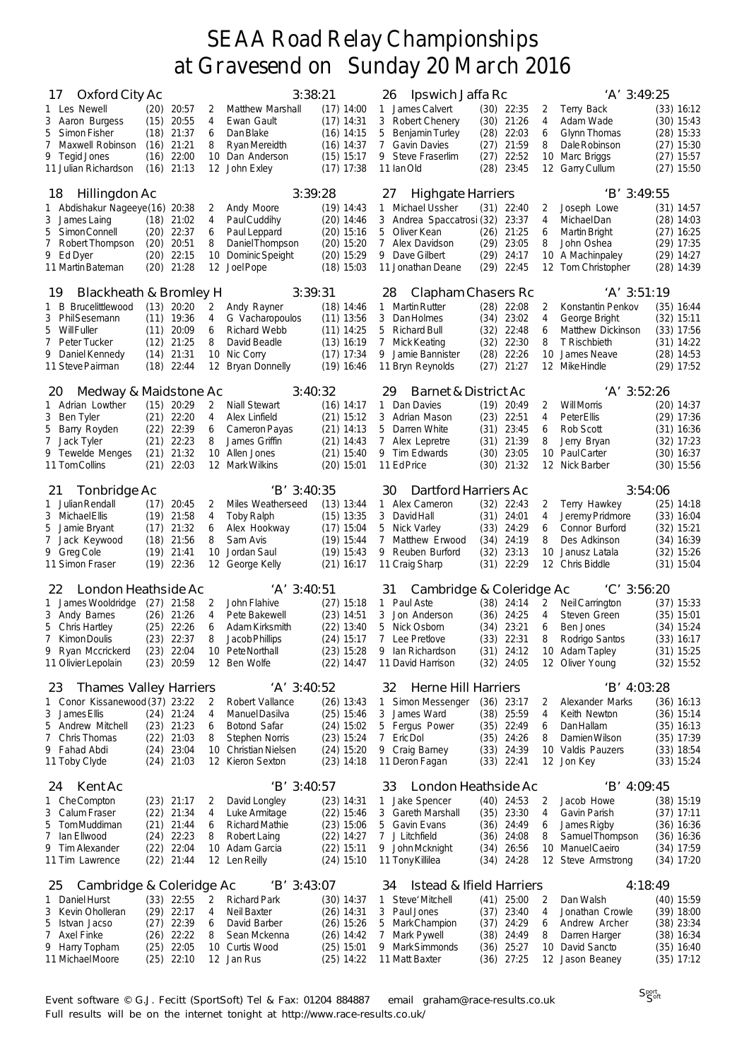| Oxford City Ac<br>$\frac{1}{2}$<br>1 Les Newell<br>3 Aaron Burgess<br>5<br>Simon Fisher<br>7<br>Maxwell Robinson<br>9 Tegid Jones<br>11 Julian Richardson                      | (20)<br>(15)<br>(18)<br>(16)<br>(16)         | 20:57<br>20:55<br>21:37<br>$(16)$ 21:21<br>22:00<br>21:13                             | 2<br>4<br>6<br>8<br>10<br>12 | 3:38:21<br>Matthew Marshall<br>Ewan Gault<br>Dan Blake<br>Ryan Mereidth<br>Dan Anderson<br>John Exley                                          | $(17)$ 14:00<br>$(17)$ 14:31<br>$(16)$ 14:15<br>$(16)$ 14:37<br>$(15)$ 15:17<br>$(17)$ 17:38 | Ipswich Jaffa Rc<br>26<br>James Calvert<br>1<br>3<br>Robert Chenery<br>5<br><b>Benjamin Turley</b><br>$\overline{7}$<br><b>Gavin Davies</b><br>9<br><b>Steve Fraserlim</b><br>11 Ian Old          | $(30)$ 22:35<br>21:26<br>(30)<br>(28)<br>22:03<br>21:59<br>(27)<br>(27)<br>22:52<br>23:45<br>(28)  | 2<br>4<br>6<br>8<br>10              | 'A' 3:49:25<br>Terry Back<br>Adam Wade<br>Glynn Thomas<br>Dale Robinson<br>Marc Briggs<br>12 Garry Cullum                | (33) 16:12<br>$(30)$ 15:43<br>$(28)$ 15:33<br>$(27)$ 15:30<br>$(27)$ 15:57<br>$(27)$ 15:50   |  |
|--------------------------------------------------------------------------------------------------------------------------------------------------------------------------------|----------------------------------------------|---------------------------------------------------------------------------------------|------------------------------|------------------------------------------------------------------------------------------------------------------------------------------------|----------------------------------------------------------------------------------------------|---------------------------------------------------------------------------------------------------------------------------------------------------------------------------------------------------|----------------------------------------------------------------------------------------------------|-------------------------------------|--------------------------------------------------------------------------------------------------------------------------|----------------------------------------------------------------------------------------------|--|
| Hillingdon Ac<br>18<br>1 Abdishakur Nageeye(16) 20:38<br>3 James Laing<br>5<br>Simon Connell<br>7<br>Robert Thompson<br>9 Ed Dyer<br>11 Martin Bateman                         | (20)<br>(20)<br>(20)                         | $(18)$ 21:02<br>$(20)$ 22:37<br>20:51<br>22:15<br>21:28                               | 2<br>4<br>6<br>8<br>10<br>12 | 3:39:28<br>Andy Moore<br>Paul Cuddihy<br>Paul Leppard<br>Daniel Thompson<br>Dominic Speight<br>Joel Pope                                       | $(19)$ 14:43<br>$(20)$ 14:46<br>$(20)$ 15:16<br>$(20)$ 15:20<br>$(20)$ 15:29<br>$(18)$ 15:03 | 27<br><b>Highgate Harriers</b><br>Michael Ussher<br>$\mathbf{1}$<br>3<br>Andrea Spaccatrosi (32)<br>5<br>Oliver Kean<br>$\overline{7}$<br>Alex Davidson<br>9<br>Dave Gilbert<br>11 Jonathan Deane | 22:40<br>(31)<br>23:37<br>21:25<br>(26)<br>(29)<br>23:05<br>(29)<br>24:17<br>22:45<br>(29)         | 2<br>4<br>6<br>8<br>10<br>12        | 'B' 3:49:55<br>Joseph Lowe<br>Michael Dan<br><b>Martin Bright</b><br>John Oshea<br>A Machinpaley<br>Tom Christopher      | $(31)$ 14:57<br>$(28)$ 14:03<br>$(27)$ 16:25<br>$(29)$ 17:35<br>$(29)$ 14:27<br>$(28)$ 14:39 |  |
| 19<br>Blackheath & Bromley H<br>Brucelittlewood<br>B<br>$\mathbf{1}$<br>3 PhilSesemann<br><b>Will Fuller</b><br>5<br>7<br>Peter Tucker<br>9 Daniel Kennedy<br>11 Steve Pairman | (13)<br>(11)<br>(14)<br>(18)                 | 20:20<br>$(11)$ 19:36<br>20:09<br>$(12)$ 21:25<br>21:31<br>22:44                      | 2<br>4<br>6<br>8<br>10<br>12 | 3:39:31<br>Andy Rayner<br>G Vacharopoulos<br><b>Richard Webb</b><br>David Beadle<br>Nic Corry<br><b>Bryan Donnelly</b>                         | $(18)$ 14:46<br>$(11)$ 13:56<br>$(11)$ 14:25<br>$(13)$ 16:19<br>$(17)$ 17:34<br>$(19)$ 16:46 | 28<br>Clapham Chasers Rc<br>1 Martin Rutter<br>3<br><b>Dan Holmes</b><br>5<br><b>Richard Bull</b><br>7<br><b>Mick Keating</b><br>9<br>Jamie Bannister<br>11 Bryn Reynolds                         | $(28)$ 22:08<br>23:02<br>(34)<br>(32)<br>22:48<br>22:30<br>(32)<br>(28)<br>22:26<br>(27)<br>21:27  | 2<br>4<br>6<br>8<br>10              | $'A'$ 3:51:19<br>Konstantin Penkov<br>George Bright<br>Matthew Dickinson<br>T Rischbieth<br>James Neave<br>12 MikeHindle | $(35)$ 16:44<br>$(32)$ 15:11<br>$(33)$ 17:56<br>$(31)$ 14:22<br>$(28)$ 14:53<br>$(29)$ 17:52 |  |
| Medway & Maidstone Ac<br>20<br>1 Adrian Lowther<br>3 Ben Tyler<br>5<br>Barry Royden<br>Jack Tyler<br>7<br>9 Tewelde Menges<br>11 Tom Collins                                   | (21)<br>(22)<br>(21)<br>(21)<br>(21)         | $(15)$ 20:29<br>22:20<br>22:39<br>22:23<br>21:32<br>22:03                             | 2<br>4<br>6<br>8<br>10       | 3:40:32<br>Niall Stewart<br>Alex Linfield<br>Cameron Payas<br>James Griffin<br>Allen Jones<br>12 Mark Wilkins                                  | $(16)$ 14:17<br>$(21)$ 15:12<br>$(21)$ 14:13<br>$(21)$ 14:43<br>$(21)$ 15:40<br>$(20)$ 15:01 | 29<br>Barnet & District Ac<br>Dan Davies<br>1<br>3<br>Adrian Mason<br>5<br>Darren White<br>$7^{\circ}$<br>Alex Lepretre<br>9 Tim Edwards<br>11 Ed Price                                           | (19)<br>20:49<br>22:51<br>(23)<br>23:45<br>(31)<br>21:39<br>(31)<br>(30)<br>23:05<br>21:32<br>(30) | 2<br>4<br>6<br>8<br>10              | $'A'$ 3:52:26<br><b>Will Morris</b><br>Peter Ellis<br>Rob Scott<br>Jerry Bryan<br>Paul Carter<br>12 Nick Barber          | $(20)$ 14:37<br>$(29)$ 17:36<br>$(31)$ 16:36<br>$(32)$ 17:23<br>$(30)$ 16:37<br>$(30)$ 15:56 |  |
| Tonbridge Ac<br>21<br>1 Julian Rendall<br>3 Michael Ellis<br>5 Jamie Bryant<br>Jack Keywood<br>7<br>9 Greg Cole<br>11 Simon Fraser                                             | (17)<br>(19)<br>(17)<br>(18)<br>(19)<br>(19) | 20:45<br>21:58<br>21:32<br>21:56<br>21:41<br>22:36                                    | 2<br>4<br>6<br>8<br>10<br>12 | 'B' 3:40:35<br>Miles Weatherseed<br><b>Toby Ralph</b><br>Alex Hookway<br>Sam Avis<br>Jordan Saul<br>George Kelly                               | $(13)$ 13:44<br>$(15)$ 13:35<br>$(17)$ 15:04<br>$(19)$ 15:44<br>$(19)$ 15:43<br>$(21)$ 16:17 | Dartford Harriers Ac<br>30<br>1 Alex Cameron<br>3<br><b>David Hall</b><br>5<br>Nick Varley<br>$\mathcal{I}$<br>Matthew Erwood<br>9<br>Reuben Burford<br>11 Craig Sharp                            | 22:43<br>(32)<br>(31)<br>24:01<br>(33)<br>24:29<br>(34)<br>24:19<br>(32)<br>23:13<br>22:29<br>(31) | 2<br>4<br>6<br>8<br>10<br>12        | 3:54:06<br>Terry Hawkey<br>Jeremy Pridmore<br>Connor Burford<br>Des Adkinson<br>Janusz Latala<br>Chris Biddle            | (25) 14:18<br>$(33)$ 16:04<br>$(32)$ 15:21<br>$(34)$ 16:39<br>$(32)$ 15:26<br>$(31)$ 15:04   |  |
| London Heathside Ac<br>22<br>James Wooldridge<br>1.<br>3 Andy Barnes<br>5 Chris Hartley<br>7 Kimon Doulis<br>Ryan Mccrickerd<br>9<br>11 Olivier Lepolain                       | (26)<br>(25)<br>(23)<br>(23)                 | $(27)$ 21:58<br>21:26<br>22:26<br>22:37<br>22:04<br>$(23)$ 20:59                      | 2<br>4<br>6<br>8             | $'A'$ 3:40:51<br>John Flahive<br>Pete Bakewell<br>Adam Kirksmith<br>Jacob Phillips<br>10 Pete Northall<br>12 Ben Wolfe                         | $(27)$ 15:18<br>$(23)$ 14:51<br>$(22)$ 13:40<br>$(24)$ 15:17<br>$(23)$ 15:28<br>$(22)$ 14:47 | Cambridge & Coleridge Ac<br>31<br>Paul Aste<br>$\mathbf{1}$<br>3<br>Jon Anderson<br>5<br>Nick Osborn<br>$\overline{7}$<br>Lee Pretlove<br>9 Ian Richardson<br>11 David Harrison                   | $(38)$ 24:14<br>24:25<br>(36)<br>23:21<br>(34)<br>(33)<br>22:31<br>$(31)$ 24:12<br>$(32)$ 24:05    | 2<br>$\overline{4}$<br>6<br>8       | 'C' 3:56:20<br>Neil Carrington<br>Steven Green<br>Ben Jones<br>Rodrigo Santos<br>10 Adam Tapley<br>12 Oliver Young       | $(37)$ 15:33<br>$(35)$ 15:01<br>$(34)$ 15:24<br>$(33)$ 16:17<br>$(31)$ 15:25<br>$(32)$ 15:52 |  |
| <b>Thames Valley Harriers</b><br>23<br>Conor Kissanewood (37) 23:22<br>1<br>3 James Ellis<br>Andrew Mitchell<br>5<br>Chris Thomas<br>7<br>9 Fahad Abdi<br>11 Toby Clyde        |                                              | $(24)$ 21:24<br>$(23)$ $21:23$<br>$(22)$ 21:03<br>$(24)$ 23:04<br>$(24)$ 21:03        | 2<br>4<br>6<br>8             | $'A'$ 3:40:52<br>Robert Vallance<br>Manuel Dasilva<br><b>Botond Safar</b><br><b>Stephen Norris</b><br>10 Christian Nielsen<br>12 Kieron Sexton | $(26)$ 13:43<br>$(25)$ 15:46<br>$(24)$ 15:02<br>$(23)$ 15:24<br>$(24)$ 15:20<br>$(23)$ 14:18 | 32<br>Herne Hill Harriers<br>Simon Messenger<br>$\mathbf{1}$<br>3<br>James Ward<br>5<br>Fergus Power<br>$7\overline{ }$<br>Eric Dol<br>9 Craig Barney<br>11 Deron Fagan                           | $(36)$ 23:17<br>25:59<br>(38)<br>$(35)$ 22:49<br>24:26<br>(35)<br>$(33)$ 24:39<br>$(33)$ 22:41     | 2<br>4<br>6<br>8                    | 'B' 4:03:28<br>Alexander Marks<br>Keith Newton<br>DanHallam<br>Damien Wilson<br>10 Valdis Pauzers<br>12 Jon Key          | $(36)$ 16:13<br>$(36)$ 15:14<br>$(35)$ 16:13<br>$(35)$ 17:39<br>$(33)$ 18:54<br>$(33)$ 15:24 |  |
| Kent Ac<br>24<br>1 CheCompton<br>3<br>Calum Fraser<br>5<br>TomMuddiman<br>Ian Ellwood<br>7<br>9 Tim Alexander<br>11 Tim Lawrence                                               | (22)                                         | $(23)$ 21:17<br>$(22)$ 21:34<br>$(21)$ 21:44<br>$(24)$ 22:23<br>22:04<br>(22) 21:44   | 2<br>4<br>6<br>8<br>10       | $'B'$ 3:40:57<br>David Longley<br>Luke Armitage<br><b>Richard Mathie</b><br>Robert Laing<br>Adam Garcia<br>12 Len Reilly                       | $(23)$ 14:31<br>$(22)$ 15:46<br>$(23)$ 15:06<br>$(22)$ 14:27<br>$(22)$ 15:11<br>$(24)$ 15:10 | London Heathside Ac<br>33<br>Jake Spencer<br>1<br><b>Gareth Marshall</b><br>3<br>5 Gavin Evans<br>7 J Litchfield<br>9 John Mcknight<br>11 Tony Killilea                                           | $(40)$ 24:53<br>$(35)$ 23:30<br>$(36)$ 24:49<br>(36)<br>24:08<br>(34)<br>26:56<br>24:28<br>(34)    | 2<br>$\overline{4}$<br>6<br>8<br>10 | 'B' 4:09:45<br>Jacob Howe<br>Gavin Parish<br>James Rigby<br>Samuel Thompson<br>Manuel Caeiro<br>12 Steve Armstrong       | $(38)$ 15:19<br>$(37)$ 17:11<br>$(36)$ 16:36<br>$(36)$ 16:36<br>$(34)$ 17:59<br>$(34)$ 17:20 |  |
| Cambridge & Coleridge Ac<br>25<br>1 Daniel Hurst<br>Kevin Oholleran<br>3<br>Istvan Jacso<br>5<br>Axel Finke<br>7<br>9 Harry Topham<br>11 Michael Moore                         | (25)                                         | $(33)$ 22:55<br>$(29)$ 22:17<br>$(27)$ 22:39<br>$(26)$ 22:22<br>22:05<br>$(25)$ 22:10 | 2<br>4<br>6<br>8<br>10       | $'B'$ 3:43:07<br><b>Richard Park</b><br>Neil Baxter<br>David Barber<br>Sean Mckenna<br>Curtis Wood<br>12 Jan Rus                               | $(30)$ 14:37<br>$(26)$ 14:31<br>$(26)$ 15:26<br>$(26)$ 14:42<br>$(25)$ 15:01<br>$(25)$ 14:22 | 34<br>Istead & Ifield Harriers<br>Steve' Mitchell<br>1<br>3<br>Paul Jones<br>5 Mark Champion<br>7<br>Mark Pywell<br>9<br>Mark Simmonds<br>11 Matt Baxter                                          | $(41)$ 25:00<br>23:40<br>(37)<br>(37)<br>24:29<br>(38)<br>24:49<br>(36)<br>25:27<br>$(36)$ 27:25   | 2<br>4<br>6<br>8<br>10              | 4:18:49<br>Dan Walsh<br>Jonathan Crowle<br>Andrew Archer<br>Darren Harger<br>David Sancto<br>12 Jason Beaney             | $(40)$ 15:59<br>$(39)$ 18:00<br>$(38)$ 23:34<br>$(38)$ 16:34<br>$(35)$ 16:40<br>$(35)$ 17:12 |  |

Event software © G.J. Fecitt (SportSoft) Tel & Fax: 01204 884887 email graham@race-results.co.uk Full results will be on the internet tonight at http://www.race-results.co.uk/